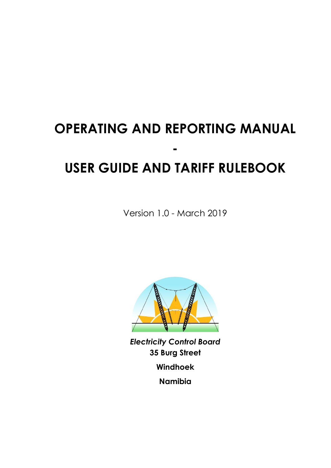# **OPERATING AND REPORTING MANUAL - USER GUIDE AND TARIFF RULEBOOK**

Version 1.0 - March 2019



*Electricity Control Board* **35 Burg Street Windhoek Namibia**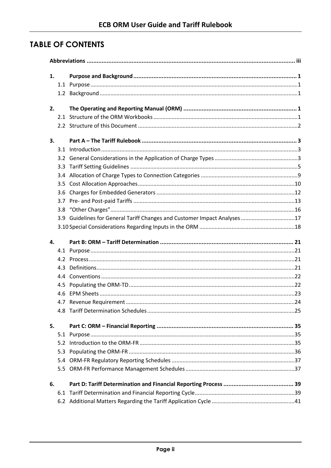# **TABLE OF CONTENTS**

| 1. |                                                                           |  |
|----|---------------------------------------------------------------------------|--|
|    |                                                                           |  |
|    |                                                                           |  |
| 2. |                                                                           |  |
|    |                                                                           |  |
|    |                                                                           |  |
| 3. |                                                                           |  |
|    |                                                                           |  |
|    |                                                                           |  |
|    |                                                                           |  |
|    |                                                                           |  |
|    |                                                                           |  |
|    |                                                                           |  |
|    |                                                                           |  |
|    |                                                                           |  |
|    | 3.9 Guidelines for General Tariff Changes and Customer Impact Analyses 17 |  |
|    |                                                                           |  |
|    |                                                                           |  |
| 4. |                                                                           |  |
|    |                                                                           |  |
|    |                                                                           |  |
|    |                                                                           |  |
|    |                                                                           |  |
|    |                                                                           |  |
|    |                                                                           |  |
|    |                                                                           |  |
|    |                                                                           |  |
| 5. |                                                                           |  |
|    |                                                                           |  |
|    |                                                                           |  |
|    |                                                                           |  |
|    |                                                                           |  |
|    |                                                                           |  |
| 6. |                                                                           |  |
|    |                                                                           |  |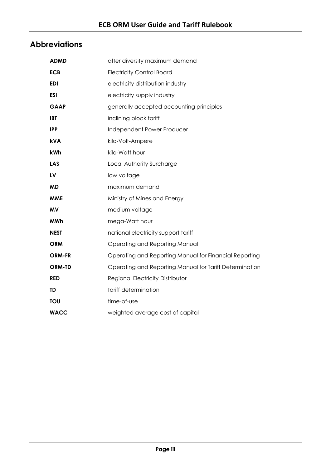# <span id="page-2-0"></span>**Abbreviations**

| <b>ADMD</b>   | after diversity maximum demand                          |
|---------------|---------------------------------------------------------|
| <b>ECB</b>    | <b>Electricity Control Board</b>                        |
| <b>EDI</b>    | electricity distribution industry                       |
| ESI           | electricity supply industry                             |
| <b>GAAP</b>   | generally accepted accounting principles                |
| <b>IBT</b>    | inclining block tariff                                  |
| <b>IPP</b>    | Independent Power Producer                              |
| <b>kVA</b>    | kilo-Volt-Ampere                                        |
| kWh           | kilo-Watt hour                                          |
| <b>LAS</b>    | Local Authority Surcharge                               |
| LV            | low voltage                                             |
| <b>MD</b>     | maximum demand                                          |
| <b>MME</b>    | Ministry of Mines and Energy                            |
| MV            | medium voltage                                          |
| <b>MWh</b>    | mega-Watt hour                                          |
| <b>NEST</b>   | national electricity support tariff                     |
| <b>ORM</b>    | Operating and Reporting Manual                          |
| <b>ORM-FR</b> | Operating and Reporting Manual for Financial Reporting  |
| <b>ORM-TD</b> | Operating and Reporting Manual for Tariff Determination |
| <b>RED</b>    | Regional Electricity Distributor                        |
| <b>TD</b>     | tariff determination                                    |
| TOU           | time-of-use                                             |
| <b>WACC</b>   | weighted average cost of capital                        |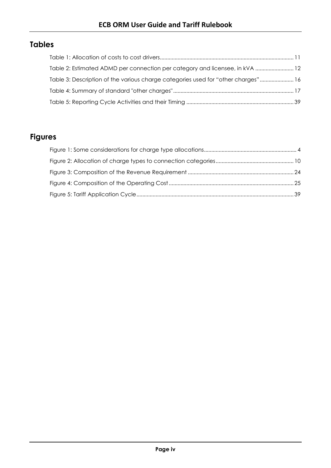# **Tables**

| Table 2: Estimated ADMD per connection per category and licensee, in kVA  12      |  |
|-----------------------------------------------------------------------------------|--|
| Table 3: Description of the various charge categories used for "other charges" 16 |  |
|                                                                                   |  |
|                                                                                   |  |

# **Figures**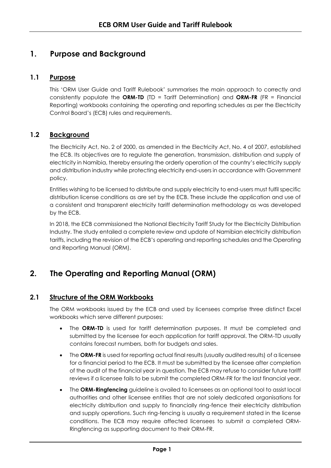# <span id="page-4-0"></span>**1. Purpose and Background**

# <span id="page-4-1"></span>**1.1 Purpose**

This 'ORM User Guide and Tariff Rulebook' summarises the main approach to correctly and consistently populate the **ORM-TD** (TD = Tariff Determination) and **ORM-FR** (FR = Financial Reporting) workbooks containing the operating and reporting schedules as per the Electricity Control Board's (ECB) rules and requirements.

# <span id="page-4-2"></span>**1.2 Background**

The Electricity Act, No. 2 of 2000, as amended in the Electricity Act, No. 4 of 2007, established the ECB. Its objectives are to regulate the generation, transmission, distribution and supply of electricity in Namibia, thereby ensuring the orderly operation of the country's electricity supply and distribution industry while protecting electricity end-users in accordance with Government policy.

Entities wishing to be licensed to distribute and supply electricity to end-users must fulfil specific distribution license conditions as are set by the ECB. These include the application and use of a consistent and transparent electricity tariff determination methodology as was developed by the ECB.

In 2018, the ECB commissioned the National Electricity Tariff Study for the Electricity Distribution Industry. The study entailed a complete review and update of Namibian electricity distribution tariffs, including the revision of the ECB's operating and reporting schedules and the Operating and Reporting Manual (ORM).

# <span id="page-4-3"></span>**2. The Operating and Reporting Manual (ORM)**

# **2.1 Structure of the ORM Workbooks**

<span id="page-4-4"></span>The ORM workbooks issued by the ECB and used by licensees comprise three distinct Excel workbooks which serve different purposes:

- The **ORM-TD** is used for tariff determination purposes. It must be completed and submitted by the licensee for each application for tariff approval. The ORM-TD usually contains forecast numbers, both for budgets and sales.
- The ORM-FR is used for reporting actual final results (usually audited results) of a licensee for a financial period to the ECB. It must be submitted by the licensee after completion of the audit of the financial year in question. The ECB may refuse to consider future tariff reviews if a licensee fails to be submit the completed ORM-FR for the last financial year.
- The **ORM-Ringfencing** guideline is availed to licensees as an optional tool to assist local authorities and other licensee entities that are not solely dedicated organisations for electricity distribution and supply to financially ring-fence their electricity distribution and supply operations. Such ring-fencing is usually a requirement stated in the license conditions. The ECB may require affected licensees to submit a completed ORM-Ringfencing as supporting document to their ORM-FR.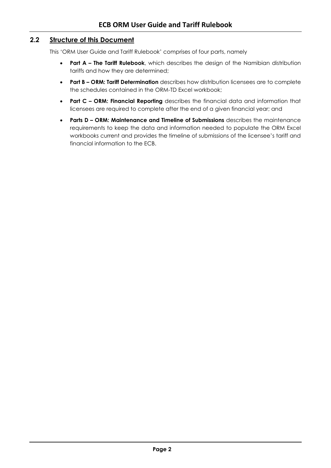# <span id="page-5-0"></span>**2.2 Structure of this Document**

This 'ORM User Guide and Tariff Rulebook' comprises of four parts, namely

- **Part A – The Tariff Rulebook**, which describes the design of the Namibian distribution tariffs and how they are determined;
- **Part B – ORM: Tariff Determination** describes how distribution licensees are to complete the schedules contained in the ORM-TD Excel workbook;
- **Part C – ORM: Financial Reporting** describes the financial data and information that licensees are required to complete after the end of a given financial year; and
- **Parts D – ORM: Maintenance and Timeline of Submissions** describes the maintenance requirements to keep the data and information needed to populate the ORM Excel workbooks current and provides the timeline of submissions of the licensee's tariff and financial information to the ECB.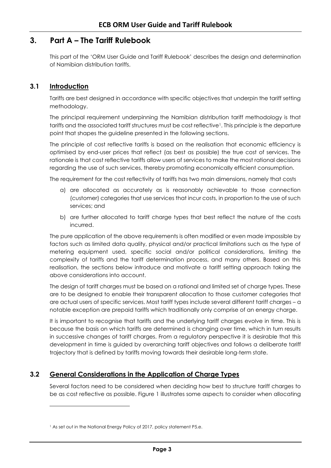# <span id="page-6-0"></span>**3. Part A – The Tariff Rulebook**

<span id="page-6-1"></span>This part of the 'ORM User Guide and Tariff Rulebook' describes the design and determination of Namibian distribution tariffs.

# **3.1 Introduction**

l

Tariffs are best designed in accordance with specific objectives that underpin the tariff setting methodology.

The principal requirement underpinning the Namibian distribution tariff methodology is that tariffs and the associated tariff structures must be cost reflective<sup>1</sup>. This principle is the departure point that shapes the guideline presented in the following sections.

The principle of cost reflective tariffs is based on the realisation that economic efficiency is optimised by end-user prices that reflect (as best as possible) the true cost of services. The rationale is that cost reflective tariffs allow users of services to make the most rational decisions regarding the use of such services, thereby promoting economically efficient consumption.

The requirement for the cost reflectivity of tariffs has two main dimensions, namely that costs

- a) are allocated as accurately as is reasonably achievable to those connection (customer) categories that use services that incur costs, in proportion to the use of such services; and
- b) are further allocated to tariff charge types that best reflect the nature of the costs incurred.

The pure application of the above requirements is often modified or even made impossible by factors such as limited data quality, physical and/or practical limitations such as the type of metering equipment used, specific social and/or political considerations, limiting the complexity of tariffs and the tariff determination process, and many others. Based on this realisation, the sections below introduce and motivate a tariff setting approach taking the above considerations into account.

The design of tariff charges must be based on a rational and limited set of charge types. These are to be designed to enable their transparent allocation to those customer categories that are actual users of specific services. Most tariff types include several different tariff charges – a notable exception are prepaid tariffs which traditionally only comprise of an energy charge.

It is important to recognise that tariffs and the underlying tariff charges evolve in time. This is because the basis on which tariffs are determined is changing over time, which in turn results in successive changes of tariff charges. From a regulatory perspective it is desirable that this development in time is guided by overarching tariff objectives and follows a deliberate tariff trajectory that is defined by tariffs moving towards their desirable long-term state.

# <span id="page-6-2"></span>**3.2 General Considerations in the Application of Charge Types**

Several factors need to be considered when deciding how best to structure tariff charges to be as cost reflective as possible. [Figure 1](#page-7-0) illustrates some aspects to consider when allocating

<sup>1</sup> As set out in the National Energy Policy of 2017, policy statement P5.e.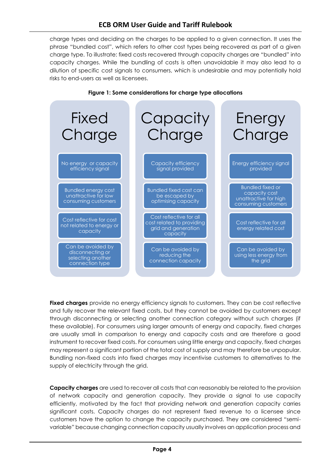# **ECB ORM User Guide and Tariff Rulebook**

charge types and deciding on the charges to be applied to a given connection. It uses the phrase "bundled cost", which refers to other cost types being recovered as part of a given charge type. To illustrate: fixed costs recovered through capacity charges are "bundled" into capacity charges. While the bundling of costs is often unavoidable it may also lead to a dilution of specific cost signals to consumers, which is undesirable and may potentially hold risks to end-users as well as licensees.

<span id="page-7-0"></span>

#### **Figure 1: Some considerations for charge type allocations**

**Fixed charges** provide no energy efficiency signals to customers. They can be cost reflective and fully recover the relevant fixed costs, but they cannot be avoided by customers except through disconnecting or selecting another connection category without such charges (if these available). For consumers using larger amounts of energy and capacity, fixed charges are usually small in comparison to energy and capacity costs and are therefore a good instrument to recover fixed costs. For consumers using little energy and capacity, fixed charges may represent a significant portion of the total cost of supply and may therefore be unpopular. Bundling non-fixed costs into fixed charges may incentivise customers to alternatives to the supply of electricity through the grid.

**Capacity charges** are used to recover all costs that can reasonably be related to the provision of network capacity and generation capacity. They provide a signal to use capacity efficiently, motivated by the fact that providing network and generation capacity carries significant costs. Capacity charges do not represent fixed revenue to a licensee since customers have the option to change the capacity purchased. They are considered "semivariable" because changing connection capacity usually involves an application process and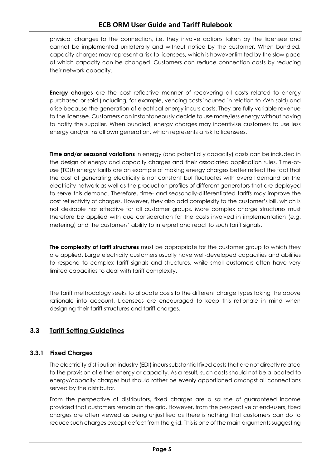physical changes to the connection, i.e. they involve actions taken by the licensee and cannot be implemented unilaterally and without notice by the customer. When bundled, capacity charges may represent a risk to licensees, which is however limited by the slow pace at which capacity can be changed. Customers can reduce connection costs by reducing their network capacity.

**Energy charges** are the cost reflective manner of recovering all costs related to energy purchased or sold (including, for example, vending costs incurred in relation to kWh sold) and arise because the generation of electrical energy incurs costs. They are fully variable revenue to the licensee. Customers can instantaneously decide to use more/less energy without having to notify the supplier. When bundled, energy charges may incentivise customers to use less energy and/or install own generation, which represents a risk to licensees.

**Time and/or seasonal variations** in energy (and potentially capacity) costs can be included in the design of energy and capacity charges and their associated application rules. Time-ofuse (TOU) energy tariffs are an example of making energy charges better reflect the fact that the cost of generating electricity is not constant but fluctuates with overall demand on the electricity network as well as the production profiles of different generators that are deployed to serve this demand. Therefore, time- and seasonally-differentiated tariffs may improve the cost reflectivity of charges. However, they also add complexity to the customer's bill, which is not desirable nor effective for all customer groups. More complex charge structures must therefore be applied with due consideration for the costs involved in implementation (e.g. metering) and the customers' ability to interpret and react to such tariff signals.

**The complexity of tariff structures** must be appropriate for the customer group to which they are applied. Large electricity customers usually have well-developed capacities and abilities to respond to complex tariff signals and structures, while small customers often have very limited capacities to deal with tariff complexity.

The tariff methodology seeks to allocate costs to the different charge types taking the above rationale into account. Licensees are encouraged to keep this rationale in mind when designing their tariff structures and tariff charges.

# <span id="page-8-0"></span>**3.3 Tariff Setting Guidelines**

# **3.3.1 Fixed Charges**

The electricity distribution industry (EDI) incurs substantial fixed costs that are not directly related to the provision of either energy or capacity. As a result, such costs should not be allocated to energy/capacity charges but should rather be evenly apportioned amongst all connections served by the distributor.

From the perspective of distributors, fixed charges are a source of guaranteed income provided that customers remain on the grid. However, from the perspective of end-users, fixed charges are often viewed as being unjustified as there is nothing that customers can do to reduce such charges except defect from the grid. This is one of the main arguments suggesting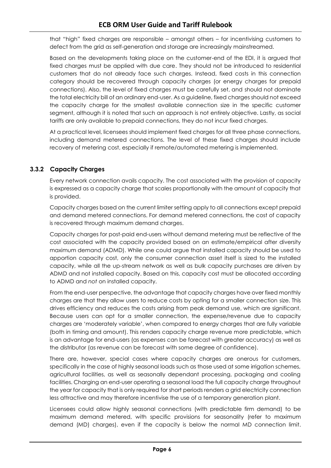that "high" fixed charges are responsible – amongst others – for incentivising customers to defect from the grid as self-generation and storage are increasingly mainstreamed.

Based on the developments taking place on the customer-end of the EDI, it is argued that fixed charges must be applied with due care. They should not be introduced to residential customers that do not already face such charges. Instead, fixed costs in this connection category should be recovered through capacity charges (or energy charges for prepaid connections). Also, the level of fixed charges must be carefully set, and should not dominate the total electricity bill of an ordinary end-user. As a guideline, fixed charges should not exceed the capacity charge for the smallest available connection size in the specific customer segment, although it is noted that such an approach is not entirely objective. Lastly, as social tariffs are only available to prepaid connections, they do not incur fixed charges.

At a practical level, licensees should implement fixed charges for all three phase connections, including demand metered connections. The level of these fixed charges should include recovery of metering cost, especially if remote/automated metering is implemented.

# <span id="page-9-0"></span>**3.3.2 Capacity Charges**

Every network connection avails capacity. The cost associated with the provision of capacity is expressed as a capacity charge that scales proportionally with the amount of capacity that is provided.

Capacity charges based on the current limiter setting apply to all connections except prepaid and demand metered connections. For demand metered connections, the cost of capacity is recovered through maximum demand charges.

Capacity charges for post-paid end-users without demand metering must be reflective of the cost associated with the capacity provided based on an estimate/empirical after diversity maximum demand (ADMD). While one could argue that installed capacity should be used to apportion capacity cost, only the consumer connection asset itself is sized to the installed capacity, while all the up-stream network as well as bulk capacity purchases are driven by ADMD and not installed capacity. Based on this, capacity cost must be allocated according to ADMD and *not* on installed capacity.

From the end-user perspective, the advantage that capacity charges have over fixed monthly charges are that they allow users to reduce costs by opting for a smaller connection size. This drives efficiency and reduces the costs arising from peak demand use, which are significant. Because users can opt for a smaller connection, the expense/revenue due to capacity charges are 'moderately variable', when compared to energy charges that are fully variable (both in timing and amount). This renders capacity charge revenue more predictable, which is an advantage for end-users (as expenses can be forecast with greater accuracy) as well as the distributor (as revenue can be forecast with some degree of confidence).

There are, however, special cases where capacity charges are onerous for customers, specifically in the case of highly seasonal loads such as those used at some irrigation schemes, agricultural facilities, as well as seasonally dependant processing, packaging and cooling facilities. Charging an end-user operating a seasonal load the full capacity charge throughout the year for capacity that is only required for short periods renders a grid electricity connection less attractive and may therefore incentivise the use of a temporary generation plant.

Licensees could allow highly seasonal connections (with predictable firm demand) to be maximum demand metered, with specific provisions for seasonality (refer to maximum demand (MD) charges), even if the capacity is below the normal MD connection limit.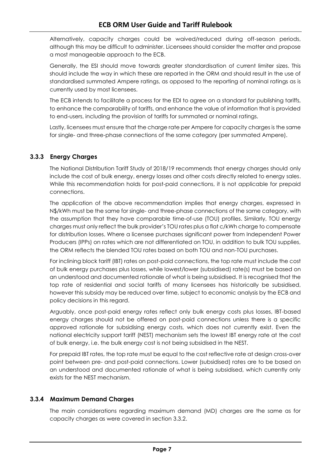Alternatively, capacity charges could be waived/reduced during off-season periods, although this may be difficult to administer. Licensees should consider the matter and propose a most manageable approach to the ECB.

Generally, the ESI should move towards greater standardisation of current limiter sizes. This should include the way in which these are reported in the ORM and should result in the use of standardised summated Ampere ratings, as opposed to the reporting of nominal ratings as is currently used by most licensees.

The ECB intends to facilitate a process for the EDI to agree on a standard for publishing tariffs, to enhance the comparability of tariffs, and enhance the value of information that is provided to end-users, including the provision of tariffs for summated or nominal ratings.

Lastly, licensees must ensure that the charge rate per Ampere for capacity charges is the same for single- and three-phase connections of the same category (per summated Ampere).

# **3.3.3 Energy Charges**

The National Distribution Tariff Study of 2018/19 recommends that energy charges should only include the cost of bulk energy, energy losses and other costs directly related to energy sales. While this recommendation holds for post-paid connections, it is not applicable for prepaid connections.

The application of the above recommendation implies that energy charges, expressed in N\$/kWh must be the same for single- and three-phase connections of the same category, with the assumption that they have comparable time-of-use (TOU) profiles. Similarly, TOU energy charges must only reflect the bulk provider's TOU rates plus a flat c/kWh charge to compensate for distribution losses. Where a licensee purchases significant power from Independent Power Producers (IPPs) on rates which are not differentiated on TOU, in addition to bulk TOU supplies, the ORM reflects the blended TOU rates based on both TOU and non-TOU purchases.

For inclining block tariff (IBT) rates on post-paid connections, the top rate must include the cost of bulk energy purchases plus losses, while lowest/lower (subsidised) rate(s) must be based on an understood and documented rationale of what is being subsidised. It is recognised that the top rate of residential and social tariffs of many licensees has historically be subsidised, however this subsidy may be reduced over time, subject to economic analysis by the ECB and policy decisions in this regard.

Arguably, once post-paid energy rates reflect only bulk energy costs plus losses, IBT-based energy charges should not be offered on post-paid connections unless there is a specific approved rationale for subsidising energy costs, which does not currently exist. Even the national electricity support tariff (NEST) mechanism sets the lowest IBT energy rate at the cost of bulk energy, i.e. the bulk energy cost is not being subsidised in the NEST.

For prepaid IBT rates, the top rate must be equal to the cost reflective rate at design cross-over point between pre- and post-paid connections. Lower (subsidised) rates are to be based on an understood and documented rationale of what is being subsidised, which currently only exists for the NEST mechanism.

# **3.3.4 Maximum Demand Charges**

The main considerations regarding maximum demand (MD) charges are the same as for capacity charges as were covered in section [3.3.2.](#page-9-0)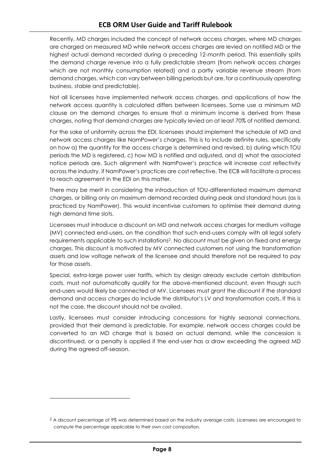Recently, MD charges included the concept of network access charges, where MD charges are charged on measured MD while network access charges are levied on notified MD or the highest actual demand recorded during a preceding 12-month period. This essentially splits the demand charge revenue into a fully predictable stream (from network access charges which are not monthly consumption related) and a partly variable revenue stream (from demand charges, which can vary between billing periods but are, for a continuously operating business, stable and predictable).

Not all licensees have implemented network access charges, and applications of how the network access quantity is calculated differs between licensees. Some use a minimum MD clause on the demand charges to ensure that a minimum income is derived from these charges, noting that demand charges are typically levied on at least 70% of notified demand.

For the sake of uniformity across the EDI, licensees should implement the schedule of MD and network access charges like NamPower's charges. This is to include definite rules, specifically on how a) the quantity for the access charge is determined and revised, b) during which TOU periods the MD is registered, c) how MD is notified and adjusted, and d) what the associated notice periods are. Such alignment with NamPower's practice will increase cost reflectivity across the industry, if NamPower's practices are cost reflective. The ECB will facilitate a process to reach agreement in the EDI on this matter.

There may be merit in considering the introduction of TOU-differentiated maximum demand charges, or billing only on maximum demand recorded during peak and standard hours (as is practiced by NamPower). This would incentivise customers to optimise their demand during high demand time slots.

Licensees must introduce a discount on MD and network access charges for medium voltage (MV) connected end-users, on the condition that such end-users comply with all legal safety requirements applicable to such installations2. No discount must be given on fixed and energy charges. This discount is motivated by MV connected customers not using the transformation assets and low voltage network of the licensee and should therefore not be required to pay for those assets.

Special, extra-large power user tariffs, which by design already exclude certain distribution costs, must not automatically qualify for the above-mentioned discount, even though such end-users would likely be connected at MV. Licensees must grant the discount if the standard demand and access charges do include the distributor's LV and transformation costs. If this is not the case, the discount should not be availed.

Lastly, licensees must consider introducing concessions for highly seasonal connections, provided that their demand is predictable. For example, network access charges could be converted to an MD charge that is based on actual demand, while the concession is discontinued, or a penalty is applied if the end-user has a draw exceeding the agreed MD during the agreed off-season.

l

<sup>&</sup>lt;sup>2</sup> A discount percentage of 9% was determined based on the industry average costs. Licensees are encouraged to compute the percentage applicable to their own cost composition.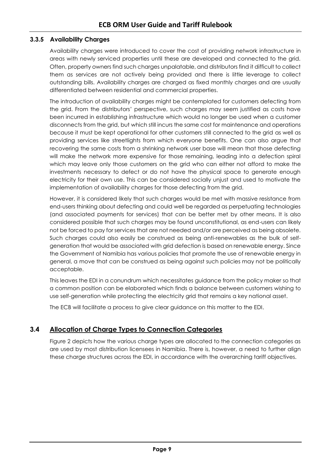# **3.3.5 Availability Charges**

Availability charges were introduced to cover the cost of providing network infrastructure in areas with newly serviced properties until these are developed and connected to the grid. Often, property owners find such charges unpalatable, and distributors find it difficult to collect them as services are not actively being provided and there is little leverage to collect outstanding bills. Availability charges are charged as fixed monthly charges and are usually differentiated between residential and commercial properties.

The introduction of availability charges might be contemplated for customers defecting from the grid. From the distributors' perspective, such charges may seem justified as costs have been incurred in establishing infrastructure which would no longer be used when a customer disconnects from the grid, but which still incurs the same cost for maintenance and operations because it must be kept operational for other customers still connected to the grid as well as providing services like streetlights from which everyone benefits. One can also argue that recovering the same costs from a shrinking network user base will mean that those defecting will make the network more expensive for those remaining, leading into a defection spiral which may leave only those customers on the grid who can either not afford to make the investments necessary to defect or do not have the physical space to generate enough electricity for their own use. This can be considered socially unjust and used to motivate the implementation of availability charges for those defecting from the grid.

However, it is considered likely that such charges would be met with massive resistance from end-users thinking about defecting and could well be regarded as perpetuating technologies (and associated payments for services) that can be better met by other means. It is also considered possible that such charges may be found unconstitutional, as end-users can likely not be forced to pay for services that are not needed and/or are perceived as being obsolete. Such charges could also easily be construed as being anti-renewables as the bulk of selfgeneration that would be associated with grid defection is based on renewable energy. Since the Government of Namibia has various policies that promote the use of renewable energy in general, a move that can be construed as being against such policies may not be politically acceptable.

This leaves the EDI in a conundrum which necessitates guidance from the policy maker so that a common position can be elaborated which finds a balance between customers wishing to use self-generation while protecting the electricity grid that remains a key national asset.

The ECB will facilitate a process to give clear guidance on this matter to the EDI.

# <span id="page-12-0"></span>**3.4 Allocation of Charge Types to Connection Categories**

[Figure 2](#page-13-1) depicts how the various charge types are allocated to the connection categories as are used by most distribution licensees in Namibia. There is, however, a need to further align these charge structures across the EDI, in accordance with the overarching tariff objectives.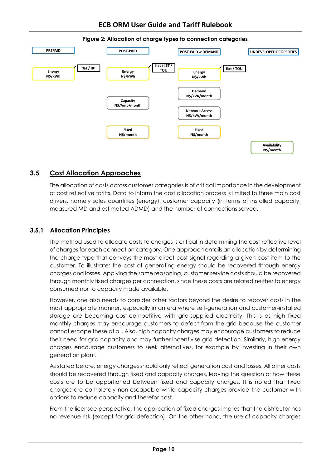<span id="page-13-1"></span>

#### **Figure 2: Allocation of charge types to connection categories**

# <span id="page-13-0"></span>**3.5 Cost Allocation Approaches**

The allocation of costs across customer categories is of critical importance in the development of cost reflective tariffs. Data to inform the cost allocation process is limited to three main cost drivers, namely sales quantities (energy), customer capacity (in terms of installed capacity, measured MD and estimated ADMD) and the number of connections served.

# **3.5.1 Allocation Principles**

The method used to allocate costs to charges is critical in determining the cost reflective level of charges for each connection category. One approach entails an allocation by determining the charge type that conveys the most direct cost signal regarding a given cost item to the customer. To illustrate: the cost of generating energy should be recovered through energy charges and losses. Applying the same reasoning, customer service costs should be recovered through monthly fixed charges per connection, since these costs are related neither to energy consumed nor to capacity made available.

However, one also needs to consider other factors beyond the desire to recover costs in the most appropriate manner, especially in an era where self-generation and customer-installed storage are becoming cost-competitive with grid-supplied electricity. This is as high fixed monthly charges may encourage customers to defect from the grid because the customer cannot escape these at all. Also, high capacity charges may encourage customers to reduce their need for grid capacity and may further incentivise grid defection. Similarly, high energy charges encourage customers to seek alternatives, for example by investing in their own generation plant.

As stated before, energy charges should only reflect generation cost and losses. All other costs should be recovered through fixed and capacity charges, leaving the question of how these costs are to be apportioned between fixed and capacity charges. It is noted that fixed charges are completely non-escapable while capacity charges provide the customer with options to reduce capacity and therefor cost.

From the licensee perspective, the application of fixed charges implies that the distributor has no revenue risk (except for grid defection). On the other hand, the use of capacity charges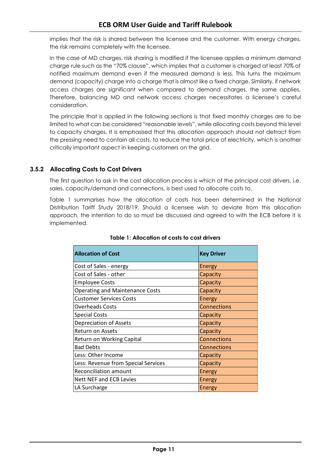implies that the risk is shared between the licensee and the customer. With energy charges, the risk remains completely with the licensee.

In the case of MD charges, risk sharing is modified if the licensee applies a minimum demand charge rule such as the "70% clause", which implies that a customer is charged at least 70% of notified maximum demand even if the measured demand is less. This turns the maximum demand (capacity) charge into a charge that is almost like a fixed charge. Similarly, if network access charges are significant when compared to demand charges, the same applies. Therefore, balancing MD and network access charges necessitates a licensee's careful consideration.

The principle that is applied in the following sections is that fixed monthly charges are to be limited to what can be considered "reasonable levels", while allocating costs beyond this level to capacity charges. It is emphasised that this allocation approach should not detract from the pressing need to contain all costs, to reduce the total price of electricity, which is another critically important aspect in keeping customers on the grid.

# **3.5.2 Allocating Costs to Cost Drivers**

The first question to ask in the cost allocation process is which of the principal cost drivers, i.e. sales, capacity/demand and connections, is best used to allocate costs to.

<span id="page-14-0"></span>[Table 1](#page-14-0) summarises how the allocation of costs has been determined in the National Distribution Tariff Study 2018/19. Should a licensee wish to deviate from this allocation approach, the intention to do so must be discussed and agreed to with the ECB before it is implemented.

| <b>Allocation of Cost</b>              | <b>Key Driver</b>  |
|----------------------------------------|--------------------|
| Cost of Sales - energy                 | Energy             |
| Cost of Sales - other                  | Capacity           |
| <b>Employee Costs</b>                  | Capacity           |
| <b>Operating and Maintenance Costs</b> | Capacity           |
| <b>Customer Services Costs</b>         | <b>Energy</b>      |
| <b>Overheads Costs</b>                 | <b>Connections</b> |
| <b>Special Costs</b>                   | Capacity           |
| Depreciation of Assets                 | Capacity           |
| <b>Return on Assets</b>                | Capacity           |
| Return on Working Capital              | Connections        |
| <b>Bad Debts</b>                       | <b>Connections</b> |
| Less: Other Income                     | Capacity           |
| Less: Revenue from Special Services    | Capacity           |
| <b>Reconciliation amount</b>           | <b>Energy</b>      |
| <b>Nett NEF and ECB Levies</b>         | <b>Energy</b>      |
| LA Surcharge                           | <b>Energy</b>      |

#### **Table 1: Allocation of costs to cost drivers**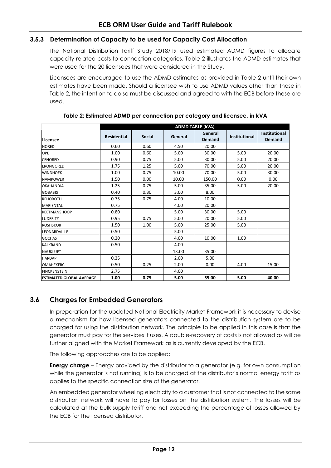#### **3.5.3 Determination of Capacity to be used for Capacity Cost Allocation**

The National Distribution Tariff Study 2018/19 used estimated ADMD figures to allocate capacity-related costs to connection categories. [Table 2](#page-15-1) illustrates the ADMD estimates that were used for the 20 licensees that were considered in the Study.

Licensees are encouraged to use the ADMD estimates as provided in [Table 2](#page-15-1) until their own estimates have been made. Should a licensee wish to use ADMD values other than those in [Table 2,](#page-15-1) the intention to do so must be discussed and agreed to with the ECB before these are used.

<span id="page-15-1"></span>

|                                  | <b>ADMD TABLE (kVA)</b> |               |         |                          |                      |                                       |
|----------------------------------|-------------------------|---------------|---------|--------------------------|----------------------|---------------------------------------|
| Licensee                         | <b>Residential</b>      | <b>Social</b> | General | General<br><b>Demand</b> | <b>Institutional</b> | <b>Institutional</b><br><b>Demand</b> |
| <b>NORED</b>                     | 0.60                    | 0.60          | 4.50    | 20.00                    |                      |                                       |
| <b>OPE</b>                       | 1.00                    | 0.60          | 5.00    | 30.00                    | 5.00                 | 20.00                                 |
| <b>CENORED</b>                   | 0.90                    | 0.75          | 5.00    | 30.00                    | 5.00                 | 20.00                                 |
| <b>ERONGORED</b>                 | 1.75                    | 1.25          | 5.00    | 70.00                    | 5.00                 | 20.00                                 |
| <b>WINDHOEK</b>                  | 1.00                    | 0.75          | 10.00   | 70.00                    | 5.00                 | 30.00                                 |
| <b>NAMPOWER</b>                  | 1.50                    | 0.00          | 10.00   | 150.00                   | 0.00                 | 0.00                                  |
| <b>OKAHANDJA</b>                 | 1.25                    | 0.75          | 5.00    | 35.00                    | 5.00                 | 20.00                                 |
| <b>GOBABIS</b>                   | 0.40                    | 0.30          | 3.00    | 8.00                     |                      |                                       |
| <b>REHOBOTH</b>                  | 0.75                    | 0.75          | 4.00    | 10.00                    |                      |                                       |
| <b>MARIENTAL</b>                 | 0.75                    |               | 4.00    | 20.00                    |                      |                                       |
| <b>KEETMANSHOOP</b>              | 0.80                    |               | 5.00    | 30.00                    | 5.00                 |                                       |
| <b>LUDERITZ</b>                  | 0.95                    | 0.75          | 5.00    | 20.00                    | 5.00                 |                                       |
| <b>ROSHSKOR</b>                  | 1.50                    | 1.00          | 5.00    | 25.00                    | 5.00                 |                                       |
| LEONARDVILLE                     | 0.50                    |               | 5.00    |                          |                      |                                       |
| <b>GOCHAS</b>                    | 0.20                    |               | 4.00    | 10.00                    | 1.00                 |                                       |
| <b>KALKRAND</b>                  | 0.50                    |               | 4.00    |                          |                      |                                       |
| <b>NAUKLUFT</b>                  |                         |               | 13.00   | 35.00                    |                      |                                       |
| <b>HARDAP</b>                    | 0.25                    |               | 2.00    | 5.00                     |                      |                                       |
| <b>OMAHEKERC</b>                 | 0.50                    | 0.25          | 2.00    | 0.00                     | 4.00                 | 15.00                                 |
| <b>FINCKENSTEIN</b>              | 2.75                    |               | 4.00    |                          |                      |                                       |
| <b>IESTIMATED GLOBAL AVERAGE</b> | 1.00                    | 0.75          | 5.00    | 55.00                    | 5.00                 | 40.00                                 |

**Table 2: Estimated ADMD per connection per category and licensee, in kVA**

# <span id="page-15-0"></span>**3.6 Charges for Embedded Generators**

In preparation for the updated National Electricity Market Framework it is necessary to devise a mechanism for how licensed generators connected to the distribution system are to be charged for using the distribution network. The principle to be applied in this case is that the generator must pay for the services it uses. A double-recovery of costs is not allowed as will be further aligned with the Market Framework as is currently developed by the ECB.

The following approaches are to be applied:

**Energy charge** – Energy provided by the distributor to a generator (e.g. for own consumption while the generator is not running) is to be charged at the distributor's normal energy tariff as applies to the specific connection size of the generator.

An embedded generator wheeling electricity to a customer that is not connected to the same distribution network will have to pay for losses on the distribution system. The losses will be calculated at the bulk supply tariff and not exceeding the percentage of losses allowed by the ECB for the licensed distributor.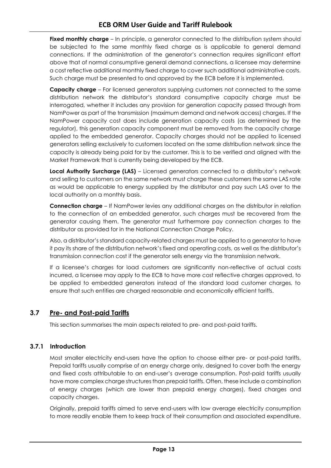**Fixed monthly charge** – In principle, a generator connected to the distribution system should be subjected to the same monthly fixed charge as is applicable to general demand connections. If the administration of the generator's connection requires significant effort above that of normal consumptive general demand connections, a licensee may determine a cost reflective additional monthly fixed charge to cover such additional administrative costs. Such charge must be presented to and approved by the ECB before it is implemented.

**Capacity charge** – For licensed generators supplying customers not connected to the same distribution network the distributor's standard consumptive capacity charge must be interrogated, whether it includes any provision for generation capacity passed through from NamPower as part of the transmission (maximum demand and network access) charges. If the NamPower capacity cost does include generation capacity costs (as determined by the regulator), this generation capacity component must be removed from the capacity charge applied to the embedded generator. Capacity charges should not be applied to licensed generators selling exclusively to customers located on the same distribution network since the capacity is already being paid for by the customer. This is to be verified and aligned with the Market Framework that is currently being developed by the ECB.

**Local Authority Surcharge (LAS)** – Licensed generators connected to a distributor's network and selling to customers on the same network must charge these customers the same LAS rate as would be applicable to energy supplied by the distributor and pay such LAS over to the local authority on a monthly basis.

**Connection charge** – If NamPower levies any additional charges on the distributor in relation to the connection of an embedded generator, such charges must be recovered from the generator causing them. The generator must furthermore pay connection charges to the distributor as provided for in the National Connection Charge Policy.

Also, a distributor's standard capacity-related charges must be applied to a generator to have it pay its share of the distribution network's fixed and operating costs, as well as the distributor's transmission connection cost if the generator sells energy via the transmission network.

If a licensee's charges for load customers are significantly non-reflective of actual costs incurred, a licensee may apply to the ECB to have more cost reflective charges approved, to be applied to embedded generators instead of the standard load customer charges, to ensure that such entities are charged reasonable and economically efficient tariffs.

# <span id="page-16-0"></span>**3.7 Pre- and Post-paid Tariffs**

This section summarises the main aspects related to pre- and post-paid tariffs.

# **3.7.1 Introduction**

Most smaller electricity end-users have the option to choose either pre- or post-paid tariffs. Prepaid tariffs usually comprise of an energy charge only, designed to cover both the energy and fixed costs attributable to an end-user's average consumption. Post-paid tariffs usually have more complex charge structures than prepaid tariffs. Often, these include a combination of energy charges (which are lower than prepaid energy charges), fixed charges and capacity charges.

Originally, prepaid tariffs aimed to serve end-users with low average electricity consumption to more readily enable them to keep track of their consumption and associated expenditure.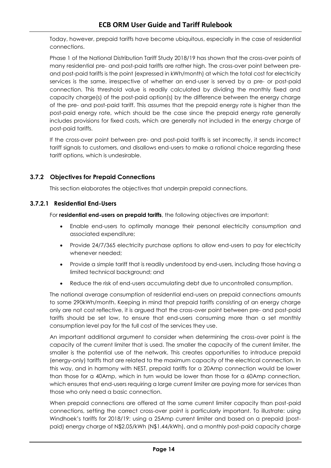Today, however, prepaid tariffs have become ubiquitous, especially in the case of residential connections.

Phase 1 of the National Distribution Tariff Study 2018/19 has shown that the cross-over points of many residential pre- and post-paid tariffs are rather high. The cross-over point between preand post-paid tariffs is the point (expressed in kWh/month) at which the total cost for electricity services is the same, irrespective of whether an end-user is served by a pre- or post-paid connection. This threshold value is readily calculated by dividing the monthly fixed and capacity charge(s) of the post-paid option(s) by the difference between the energy charge of the pre- and post-paid tariff. This assumes that the prepaid energy rate is higher than the post-paid energy rate, which should be the case since the prepaid energy rate generally includes provisions for fixed costs, which are generally not included in the energy charge of post-paid tariffs.

If the cross-over point between pre- and post-paid tariffs is set incorrectly, it sends incorrect tariff signals to customers, and disallows end-users to make a rational choice regarding these tariff options, which is undesirable.

# **3.7.2 Objectives for Prepaid Connections**

This section elaborates the objectives that underpin prepaid connections.

#### **3.7.2.1 Residential End-Users**

For **residential end-users on prepaid tariffs**, the following objectives are important:

- Enable end-users to optimally manage their personal electricity consumption and associated expenditure;
- Provide 24/7/365 electricity purchase options to allow end-users to pay for electricity whenever needed;
- Provide a simple tariff that is readily understood by end-users, including those having a limited technical background; and
- Reduce the risk of end-users accumulating debt due to uncontrolled consumption.

The national average consumption of residential end-users on prepaid connections amounts to some 290kWh/month. Keeping in mind that prepaid tariffs consisting of an energy charge only are not cost reflective, it is argued that the cross-over point between pre- and post-paid tariffs should be set low, to ensure that end-users consuming more than a set monthly consumption level pay for the full cost of the services they use.

An important additional argument to consider when determining the cross-over point is the capacity of the current limiter that is used. The smaller the capacity of the current limiter, the smaller is the potential use of the network. This creates opportunities to introduce prepaid (energy-only) tariffs that are related to the maximum capacity of the electrical connection. In this way, and in harmony with NEST, prepaid tariffs for a 20Amp connection would be lower than those for a 40Amp, which in turn would be lower than those for a 60Amp connection, which ensures that end-users requiring a large current limiter are paying more for services than those who only need a basic connection.

When prepaid connections are offered at the same current limiter capacity than post-paid connections, setting the correct cross-over point is particularly important. To illustrate: using Windhoek's tariffs for 2018/19: using a 25Amp current limiter and based on a prepaid (postpaid) energy charge of N\$2.05/kWh (N\$1.44/kWh), and a monthly post-paid capacity charge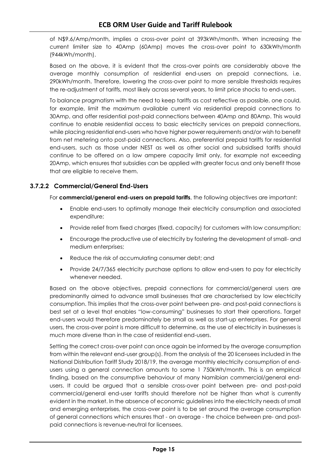of N\$9.6/Amp/month, implies a cross-over point at 393kWh/month. When increasing the current limiter size to 40Amp (60Amp) moves the cross-over point to 630kWh/month (944kWh/month).

Based on the above, it is evident that the cross-over points are considerably above the average monthly consumption of residential end-users on prepaid connections, i.e. 290kWh/month. Therefore, lowering the cross-over point to more sensible thresholds requires the re-adjustment of tariffs, most likely across several years, to limit price shocks to end-users.

To balance pragmatism with the need to keep tariffs as cost reflective as possible, one could, for example, limit the maximum available current via residential prepaid connections to 30Amp, and offer residential post-paid connections between 40Amp and 80Amp. This would continue to enable residential access to basic electricity services on prepaid connections, while placing residential end-users who have higher power requirements and/or wish to benefit from net metering onto post-paid connections. Also, preferential prepaid tariffs for residential end-users, such as those under NEST as well as other social and subsidised tariffs should continue to be offered on a low ampere capacity limit only, for example not exceeding 20Amp, which ensures that subsidies can be applied with greater focus and only benefit those that are eligible to receive them.

# **3.7.2.2 Commercial/General End-Users**

For **commercial/general end-users on prepaid tariffs**, the following objectives are important:

- Enable end-users to optimally manage their electricity consumption and associated expenditure;
- Provide relief from fixed charges (fixed, capacity) for customers with low consumption;
- Encourage the productive use of electricity by fostering the development of small- and medium enterprises;
- Reduce the risk of accumulating consumer debt; and
- Provide 24/7/365 electricity purchase options to allow end-users to pay for electricity whenever needed.

Based on the above objectives, prepaid connections for commercial/general users are predominantly aimed to advance small businesses that are characterised by low electricity consumption. This implies that the cross-over point between pre- and post-paid connections is best set at a level that enables "low-consuming" businesses to start their operations. Target end-users would therefore predominately be small as well as start-up enterprises. For general users, the cross-over point is more difficult to determine, as the use of electricity in businesses is much more diverse than in the case of residential end-users.

Setting the correct cross-over point can once again be informed by the average consumption from within the relevant end-user group(s). From the analysis of the 20 licensees included in the National Distribution Tariff Study 2018/19, the average monthly electricity consumption of endusers using a general connection amounts to some 1 750kWh/month. This is an empirical finding, based on the consumptive behaviour of many Namibian commercial/general endusers. It could be argued that a sensible cross-over point between pre- and post-paid commercial/general end-user tariffs should therefore not be higher than what is currently evident in the market. In the absence of economic guidelines into the electricity needs of small and emerging enterprises, the cross-over point is to be set around the average consumption of general connections which ensures that - on average - the choice between pre- and postpaid connections is revenue-neutral for licensees.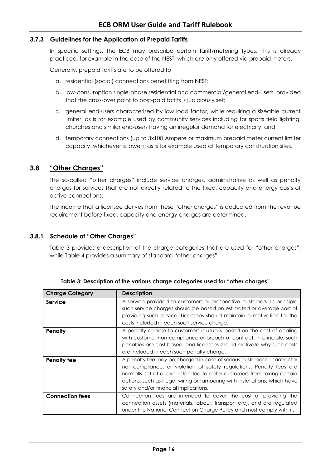#### **3.7.3 Guidelines for the Application of Prepaid Tariffs**

In specific settings, the ECB may prescribe certain tariff/metering types. This is already practiced, for example in the case of the NEST, which are only offered via prepaid meters.

Generally, prepaid tariffs are to be offered to

- a. residential (social) connections benefitting from NEST;
- b. low-consumption single-phase residential and commercial/general end-users, provided that the cross-over point to post-paid tariffs is judiciously set;
- c. general end-users characterised by low load factor, while requiring a sizeable current limiter, as is for example used by community services including for sports field lighting, churches and similar end-users having an irregular demand for electricity; and
- d. temporary connections (up to 3x100 Ampere or maximum prepaid meter current limiter capacity, whichever is lower), as is for example used at temporary construction sites.

# <span id="page-19-0"></span>**3.8 "Other Charges"**

The so-called "other charges" include service charges, administrative as well as penalty charges for services that are not directly related to the fixed, capacity and energy costs of active connections.

The income that a licensee derives from these "other charges" is deducted from the revenue requirement before fixed, capacity and energy charges are determined.

#### **3.8.1 Schedule of "Other Charges"**

[Table 3](#page-19-1) provides a description of the charge categories that are used for "other charges", while [Table 4](#page-20-1) provides a summary of standard "other charges".

<span id="page-19-1"></span>

| <b>Charge Category</b> | <b>Description</b>                                                                                                                                                                                                                                                                                                                                |  |  |
|------------------------|---------------------------------------------------------------------------------------------------------------------------------------------------------------------------------------------------------------------------------------------------------------------------------------------------------------------------------------------------|--|--|
| Service                | A service provided to customers or prospective customers. In principle<br>such service charges should be based on estimated or average cost of<br>providing such service. Licensees should maintain a motivation for the<br>costs included in each such service charge.                                                                           |  |  |
| Penalty                | A penalty charge to customers is usually based on the cost of dealing<br>with customer non-compliance or breach of contract. In principle, such<br>penalties are cost based, and licensees should motivate why such costs<br>are included in each such penalty charge.                                                                            |  |  |
| <b>Penalty fee</b>     | A penalty fee may be charged in case of serious customer or contractor<br>non-compliance, or violation of safety regulations. Penalty fees are<br>normally set at a level intended to deter customers from taking certain<br>actions, such as illegal wiring or tampering with installations, which have<br>safety and/or financial implications. |  |  |
| <b>Connection fees</b> | Connection fees are intended to cover the cost of providing the<br>connection assets (materials, labour, transport etc), and are regulated<br>under the National Connection Charge Policy and must comply with it.                                                                                                                                |  |  |

**Table 3: Description of the various charge categories used for "other charges"**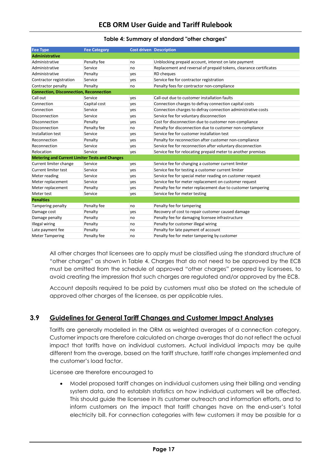#### **Table 4: Summary of standard "other charges"**

<span id="page-20-1"></span>

| <b>Fee Type</b>                                       | <b>Fee Category</b> | <b>Cost driven Description</b> |                                                                    |  |  |
|-------------------------------------------------------|---------------------|--------------------------------|--------------------------------------------------------------------|--|--|
| <b>Administrative</b>                                 |                     |                                |                                                                    |  |  |
| Administrative                                        | Penalty fee         | no                             | Unblocking prepaid account, interest on late payment               |  |  |
| Administrative                                        | Service             | no                             | Replacement and reversal of prepaid tokens, clearance certificates |  |  |
| Administrative                                        | Penalty             | yes                            | <b>RD</b> cheques                                                  |  |  |
| Contractor registration                               | Service             | yes                            | Service fee for contractor registration                            |  |  |
| Contractor penalty                                    | Penalty             | no                             | Penalty fees for contractor non-compliance                         |  |  |
| <b>Connection, Disconnection, Reconnection</b>        |                     |                                |                                                                    |  |  |
| Call out                                              | Service             | yes                            | Call-out due to customer installation faults                       |  |  |
| Connection                                            | Capital cost        | ves                            | Connection charges to defray connection capital costs              |  |  |
| Connection                                            | Service             | yes                            | Connection charges to defray connection administrative costs       |  |  |
| Disconnection                                         | Service             | yes                            | Service fee for voluntary disconnection                            |  |  |
| Disconnection                                         | Penalty             | yes                            | Cost for disconnection due to customer non-compliance              |  |  |
| Disconnection                                         | Penalty fee         | no                             | Penalty for disconnection due to customer non-compliance           |  |  |
| Installation test                                     | Service             | yes                            | Service fee for customer installation test                         |  |  |
| Reconnection                                          | Penalty             | yes                            | Penalty for reconnection after customer non-compliance             |  |  |
| Reconnection                                          | Service             | yes                            | Service fee for reconnection after voluntary disconnection         |  |  |
| Relocation                                            | Service             | yes                            | Service fee for relocating prepaid meter to another premises       |  |  |
| <b>Metering and Current Limiter Tests and Changes</b> |                     |                                |                                                                    |  |  |
| Current limiter change                                | Service             | yes                            | Service fee for changing a customer current limiter                |  |  |
| Current limiter test                                  | Service             | yes                            | Service fee for testing a customer current limiter                 |  |  |
| Meter reading                                         | Service             | yes                            | Service fee for special meter reading on customer request          |  |  |
| Meter replacement                                     | Service             | yes                            | Service fee for meter replacement on customer request              |  |  |
| Meter replacement                                     | Penalty             | yes                            | Penalty fee for meter replacement due to customer tampering        |  |  |
| Meter test                                            | Service             | yes                            | Service fee for meter testing                                      |  |  |
| <b>Penalties</b>                                      |                     |                                |                                                                    |  |  |
| Tampering penalty                                     | Penalty fee         | no                             | Penalty fee for tampering                                          |  |  |
| Damage cost                                           | Penalty             | yes                            | Recovery of cost to repair customer caused damage                  |  |  |
| Damage penalty                                        | Penalty             | no                             | Penalty fee for damaging licensee infrastructure                   |  |  |
| <b>Illegal wiring</b>                                 | Penalty             | no                             | Penalty for customer illegal wiring                                |  |  |
| Late payment fee                                      | Penalty             | no                             | Penalty for late payment of account                                |  |  |
| <b>Meter Tampering</b>                                | Penalty fee         | no                             | Penalty fee for meter tampering by customer                        |  |  |

All other charges that licensees are to apply must be classified using the standard structure of "other charges" as shown in [Table 4.](#page-20-1) Charges that do not need to be approved by the ECB must be omitted from the schedule of approved "other charges" prepared by licensees, to avoid creating the impression that such charges are regulated and/or approved by the ECB.

Account deposits required to be paid by customers must also be stated on the schedule of approved other charges of the licensee, as per applicable rules.

# <span id="page-20-0"></span>**3.9 Guidelines for General Tariff Changes and Customer Impact Analyses**

Tariffs are generally modelled in the ORM as weighted averages of a connection category. Customer impacts are therefore calculated on charge averages that do not reflect the actual impact that tariffs have on individual customers. Actual individual impacts may be quite different from the average, based on the tariff structure, tariff rate changes implemented and the customer's load factor.

Licensee are therefore encouraged to

• Model proposed tariff changes on individual customers using their billing and vending system data, and to establish statistics on how individual customers will be affected. This should guide the licensee in its customer outreach and information efforts, and to inform customers on the impact that tariff changes have on the end-user's total electricity bill. For connection categories with few customers it may be possible for a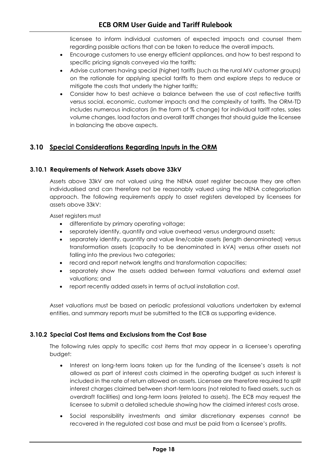licensee to inform individual customers of expected impacts and counsel them regarding possible actions that can be taken to reduce the overall impacts.

- Encourage customers to use energy efficient appliances, and how to best respond to specific pricing signals conveyed via the tariffs;
- Advise customers having special (higher) tariffs (such as the rural MV customer groups) on the rationale for applying special tariffs to them and explore steps to reduce or mitigate the costs that underly the higher tariffs;
- Consider how to best achieve a balance between the use of cost reflective tariffs versus social, economic, customer impacts and the complexity of tariffs. The ORM-TD includes numerous indicators (in the form of % change) for individual tariff rates, sales volume changes, load factors and overall tariff changes that should guide the licensee in balancing the above aspects.

# <span id="page-21-0"></span>**3.10 Special Considerations Regarding Inputs in the ORM**

# **3.10.1 Requirements of Network Assets above 33kV**

Assets above 33kV are not valued using the NENA asset register because they are often individualised and can therefore not be reasonably valued using the NENA categorisation approach. The following requirements apply to asset registers developed by licensees for assets above 33kV:

Asset registers must

- differentiate by primary operating voltage;
- separately identify, quantify and value overhead versus underground assets;
- separately identify, quantify and value line/cable assets (length denominated) versus transformation assets (capacity to be denominated in kVA) versus other assets not falling into the previous two categories;
- record and report network lengths and transformation capacities;
- separately show the assets added between formal valuations and external asset valuations; and
- report recently added assets in terms of actual installation cost.

Asset valuations must be based on periodic professional valuations undertaken by external entities, and summary reports must be submitted to the ECB as supporting evidence.

# **3.10.2 Special Cost Items and Exclusions from the Cost Base**

The following rules apply to specific cost items that may appear in a licensee's operating budget:

- Interest on long-term loans taken up for the funding of the licensee's assets is not allowed as part of interest costs claimed in the operating budget as such interest is included in the rate of return allowed on assets. Licensee are therefore required to split interest charges claimed between short-term loans (not related to fixed assets, such as overdraft facilities) and long-term loans (related to assets). The ECB may request the licensee to submit a detailed schedule showing how the claimed interest costs arose.
- Social responsibility investments and similar discretionary expenses cannot be recovered in the regulated cost base and must be paid from a licensee's profits.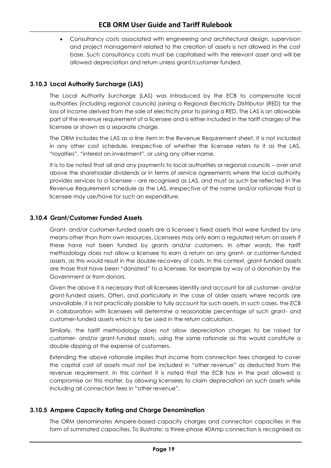• Consultancy costs associated with engineering and architectural design, supervision and project management related to the creation of assets is not allowed in the cost base. Such consultancy costs must be capitalised with the relevant asset and will be allowed depreciation and return unless grant/customer funded.

# **3.10.3 Local Authority Surcharge (LAS)**

The Local Authority Surcharge (LAS) was introduced by the ECB to compensate local authorities (including regional councils) joining a Regional Electricity Distributor (RED) for the loss of income derived from the sale of electricity prior to joining a RED. The LAS is an allowable part of the revenue requirement of a licensee and is either included in the tariff charges of the licensee or shown as a separate charge.

The ORM includes the LAS as a line item in the Revenue Requirement sheet. It is not included in any other cost schedule, irrespective of whether the licensee refers to it as the LAS, "royalties", "interest on investment", or using any other name.

It is to be noted that all and any payments to local authorities or regional councils – over and above the shareholder dividends or in terms of service agreements where the local authority provides services to a licensee – are recognised as LAS, and must as such be reflected in the Revenue Requirement schedule as the LAS, irrespective of the name and/or rationale that a licensee may use/have for such an expenditure.

# **3.10.4 Grant/Customer Funded Assets**

Grant- and/or customer-funded assets are a licensee's fixed assets that were funded by any means other than from own resources. Licensees may only earn a regulated return on assets if these have not been funded by grants and/or customers. In other words, the tariff methodology does not allow a licensee to earn a return on any grant- or customer-funded assets, as this would result in the double-recovery of costs. In this context, grant-funded assets are those that have been "donated" to a licensee, for example by way of a donation by the Government or from donors.

Given the above it is necessary that all licensees identify and account for all customer- and/or grant-funded assets. Often, and particularly in the case of older assets where records are unavailable, it is not practically possible to fully account for such assets. In such cases, the ECB in collaboration with licensees will determine a reasonable percentage of such grant- and customer-funded assets which is to be used in the return calculation.

Similarly, the tariff methodology does not allow depreciation charges to be raised for customer- and/or grant-funded assets, using the same rationale as this would constitute a double dipping at the expense of customers.

Extending the above rationale implies that income from connection fees charged to cover the capital cost of assets must not be included in "other revenue" as deducted from the revenue requirement. In this context it is noted that the ECB has in the past allowed a compromise on this matter, by allowing licensees to claim depreciation on such assets while including all connection fees in "other revenue".

# **3.10.5 Ampere Capacity Rating and Charge Denomination**

The ORM denominates Ampere-based capacity charges and connection capacities in the form of summated capacities. To illustrate: a three-phase 40Amp connection is recognised as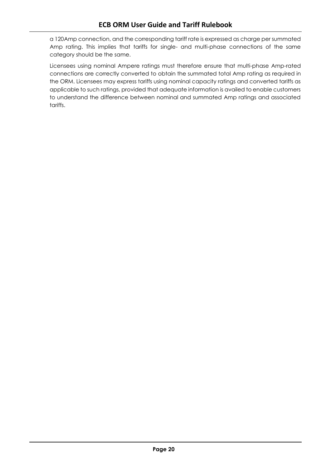a 120Amp connection, and the corresponding tariff rate is expressed as charge per summated Amp rating. This implies that tariffs for single- and multi-phase connections of the same category should be the same.

Licensees using nominal Ampere ratings must therefore ensure that multi-phase Amp-rated connections are correctly converted to obtain the summated total Amp rating as required in the ORM. Licensees may express tariffs using nominal capacity ratings and converted tariffs as applicable to such ratings, provided that adequate information is availed to enable customers to understand the difference between nominal and summated Amp ratings and associated tariffs.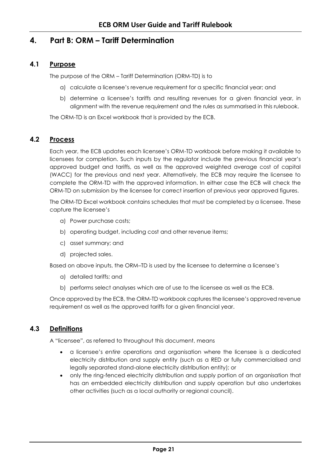# <span id="page-24-0"></span>**4. Part B: ORM – Tariff Determination**

# **4.1 Purpose**

<span id="page-24-1"></span>The purpose of the ORM – Tariff Determination (ORM-TD) is to

- a) calculate a licensee's revenue requirement for a specific financial year; and
- b) determine a licensee's tariffs and resulting revenues for a given financial year, in alignment with the revenue requirement and the rules as summarised in this rulebook.

The ORM-TD is an Excel workbook that is provided by the ECB.

#### <span id="page-24-2"></span>**4.2 Process**

Each year, the ECB updates each licensee's ORM-TD workbook before making it available to licensees for completion. Such inputs by the regulator include the previous financial year's approved budget and tariffs, as well as the approved weighted average cost of capital (WACC) for the previous and next year. Alternatively, the ECB may require the licensee to complete the ORM-TD with the approved information. In either case the ECB will check the ORM-TD on submission by the licensee for correct insertion of previous year approved figures.

The ORM-TD Excel workbook contains schedules that must be completed by a licensee. These capture the licensee's

- a) Power purchase costs;
- b) operating budget, including cost and other revenue items;
- c) asset summary; and
- d) projected sales.

Based on above inputs, the ORM–TD is used by the licensee to determine a licensee's

- a) detailed tariffs; and
- b) performs select analyses which are of use to the licensee as well as the ECB.

Once approved by the ECB, the ORM-TD workbook captures the licensee's approved revenue requirement as well as the approved tariffs for a given financial year.

# <span id="page-24-3"></span>**4.3 Definitions**

A "licensee", as referred to throughout this document, means

- a licensee's *entire* operations and organisation where the licensee is a dedicated electricity distribution and supply entity (such as a RED or fully commercialised and legally separated stand-alone electricity distribution entity); or
- only the ring-fenced electricity distribution and supply portion of an organisation that has an embedded electricity distribution and supply operation but also undertakes other activities (such as a local authority or regional council).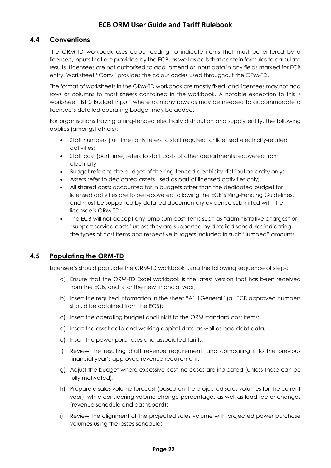# <span id="page-25-0"></span>**4.4 Conventions**

The ORM-TD workbook uses colour coding to indicate items that must be entered by a licensee, inputs that are provided by the ECB, as well as cells that contain formulas to calculate results. Licensees are not authorised to add, amend or input data in any fields marked for ECB entry. Worksheet "Conv" provides the colour codes used throughout the ORM-TD.

The format of worksheets in the ORM-TD workbook are mostly fixed, and licensees may not add rows or columns to most sheets contained in the workbook. A notable exception to this is worksheet 'B1.0 Budget Input' where as many rows as may be needed to accommodate a licensee's detailed operating budget may be added.

For organisations having a ring-fenced electricity distribution and supply entity, the following applies (amongst others):

- Staff numbers (full time) only refers to staff required for licensed electricity-related activities;
- Staff cost (part time) refers to staff costs of other departments recovered from electricity;
- Budget refers to the budget of the ring-fenced electricity distribution entity only;
- Assets refer to dedicated assets used as part of licensed activities only;
- All shared costs accounted for in budgets other than the dedicated budget for licensed activities are to be recovered following the ECB's Ring-Fencing Guidelines, and must be supported by detailed documentary evidence submitted with the licensee's ORM-TD;
- The ECB will not accept any lump sum cost items such as "administrative charges" or "support service costs" unless they are supported by detailed schedules indicating the types of cost items and respective budgets included in such "lumped" amounts.

# <span id="page-25-1"></span>**4.5 Populating the ORM-TD**

Licensee's should populate the ORM-TD workbook using the following sequence of steps:

- a) Ensure that the ORM-TD Excel workbook is the latest version that has been received from the ECB, and is for the new financial year;
- b) Insert the required information in the sheet "A1.1General" (all ECB approved numbers should be obtained from the ECB);
- c) Insert the operating budget and link it to the ORM standard cost items;
- d) Insert the asset data and working capital data as well as bad debt data;
- e) Insert the power purchases and associated tariffs;
- f) Review the resulting draft revenue requirement, and comparing it to the previous financial year's approved revenue requirement;
- g) Adjust the budget where excessive cost increases are indicated (unless these can be fully motivated);
- h) Prepare a sales volume forecast (based on the projected sales volumes for the current year), while considering volume change percentages as well as load factor changes (revenue schedule and dashboard);
- i) Review the alignment of the projected sales volume with projected power purchase volumes using the losses schedule;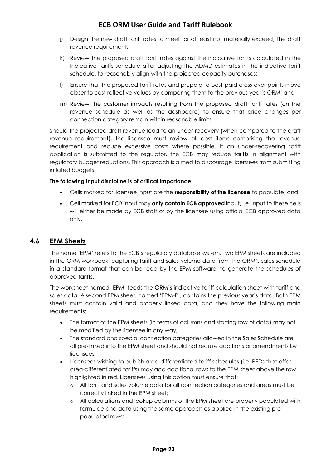- j) Design the new draft tariff rates to meet (or at least not materially exceed) the draft revenue requirement;
- k) Review the proposed draft tariff rates against the indicative tariffs calculated in the Indicative Tariffs schedule after adjusting the ADMD estimates in the indicative tariff schedule, to reasonably align with the projected capacity purchases;
- l) Ensure that the proposed tariff rates and prepaid to post-paid cross-over points move closer to cost reflective values by comparing them to the previous year's ORM; and
- m) Review the customer impacts resulting from the proposed draft tariff rates (on the revenue schedule as well as the dashboard) to ensure that price changes per connection category remain within reasonable limits.

Should the projected draft revenue lead to an under-recovery (when compared to the draft revenue requirement), the licensee must review all cost items comprising the revenue requirement and reduce excessive costs where possible. If an under-recovering tariff application is submitted to the regulator, the ECB may reduce tariffs in alignment with regulatory budget reductions. This approach is aimed to discourage licensees from submitting inflated budgets.

#### **The following input discipline is of critical importance:**

- Cells marked for licensee input are the **responsibility of the licensee** to populate; and
- Cell marked for ECB input may **only contain ECB approved** input, i.e. input to these cells will either be made by ECB staff or by the licensee using official ECB approved data only.

# <span id="page-26-0"></span>**4.6 EPM Sheets**

The name 'EPM' refers to the ECB's regulatory database system. Two EPM sheets are included in the ORM workbook, capturing tariff and sales volume data from the ORM's sales schedule in a standard format that can be read by the EPM software, to generate the schedules of approved tariffs.

The worksheet named 'EPM' feeds the ORM's indicative tariff calculation sheet with tariff and sales data. A second EPM sheet, named 'EPM-P', contains the previous year's data. Both EPM sheets must contain valid and properly linked data, and they have the following main requirements:

- The format of the EPM sheets (in terms of columns and starting row of data) may not be modified by the licensee in any way;
- The standard and special connection categories allowed in the Sales Schedule are all pre-linked into the EPM sheet and should not require additions or amendments by licensees;
- Licensees wishing to publish area-differentiated tariff schedules (i.e. REDs that offer area-differentiated tariffs) may add additional rows to the EPM sheet above the row highlighted in red. Licensees using this option must ensure that:
	- o All tariff and sales volume data for all connection categories and areas must be correctly linked in the EPM sheet;
	- o All calculations and lookup columns of the EPM sheet are properly populated with formulae and data using the same approach as applied in the existing prepopulated rows;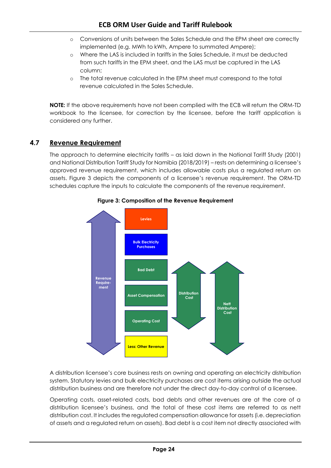- o Conversions of units between the Sales Schedule and the EPM sheet are correctly implemented (e.g. MWh to kWh, Ampere to summated Ampere);
- o Where the LAS is included in tariffs in the Sales Schedule, it must be deducted from such tariffs in the EPM sheet, and the LAS must be captured in the LAS column;
- o The total revenue calculated in the EPM sheet must correspond to the total revenue calculated in the Sales Schedule.

**NOTE:** If the above requirements have not been complied with the ECB will return the ORM-TD workbook to the licensee, for correction by the licensee, before the tariff application is considered any further.

# <span id="page-27-0"></span>**4.7 Revenue Requirement**

<span id="page-27-1"></span>The approach to determine electricity tariffs – as laid down in the National Tariff Study (2001) and National Distribution Tariff Study for Namibia (2018/2019) – rests on determining a licensee's approved revenue requirement, which includes allowable costs plus a regulated return on assets. [Figure 3](#page-27-1) depicts the components of a licensee's revenue requirement. The ORM-TD schedules capture the inputs to calculate the components of the revenue requirement.



# **Figure 3: Composition of the Revenue Requirement**

A distribution licensee's core business rests on owning and operating an electricity distribution system. Statutory levies and bulk electricity purchases are cost items arising outside the actual distribution business and are therefore not under the direct day-to-day control of a licensee.

Operating costs, asset-related costs, bad debts and other revenues are at the core of a distribution licensee's business, and the total of these cost items are referred to as nett distribution cost. It includes the regulated compensation allowance for assets (i.e. depreciation of assets and a regulated return on assets). Bad debt is a cost item not directly associated with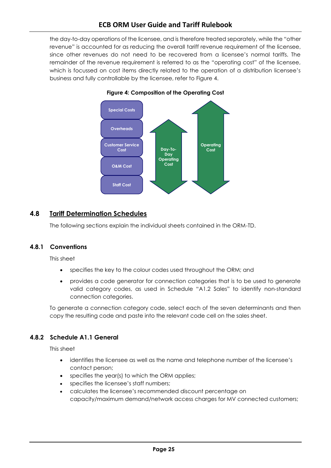# **ECB ORM User Guide and Tariff Rulebook**

<span id="page-28-1"></span>the day-to-day operations of the licensee, and is therefore treated separately, while the "other revenue" is accounted for as reducing the overall tariff revenue requirement of the licensee, since other revenues do not need to be recovered from a licensee's normal tariffs. The remainder of the revenue requirement is referred to as the "operating cost" of the licensee, which is focussed on cost items directly related to the operation of a distribution licensee's business and fully controllable by the licensee, refer to [Figure 4.](#page-28-1)



#### **Figure 4: Composition of the Operating Cost**

# <span id="page-28-0"></span>**4.8 Tariff Determination Schedules**

The following sections explain the individual sheets contained in the ORM-TD.

#### **4.8.1 Conventions**

This sheet

- specifies the key to the colour codes used throughout the ORM; and
- provides a code generator for connection categories that is to be used to generate valid category codes, as used in Schedule "A1.2 Sales" to identify non-standard connection categories.

To generate a connection category code, select each of the seven determinants and then copy the resulting code and paste into the relevant code cell on the sales sheet.

# **4.8.2 Schedule A1.1 General**

This sheet

- identifies the licensee as well as the name and telephone number of the licensee's contact person;
- specifies the year(s) to which the ORM applies;
- specifies the licensee's staff numbers;
- calculates the licensee's recommended discount percentage on capacity/maximum demand/network access charges for MV connected customers;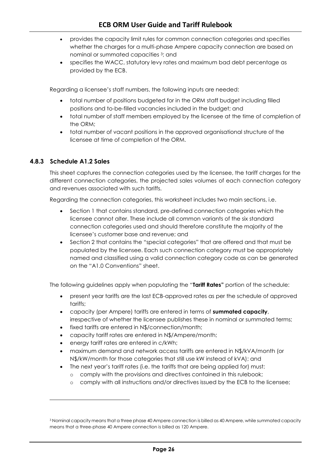- provides the capacity limit rules for common connection categories and specifies whether the charges for a multi-phase Ampere capacity connection are based on nominal or summated capacities 3; and
- specifies the WACC, statutory levy rates and maximum bad debt percentage as provided by the ECB.

Regarding a licensee's staff numbers, the following inputs are needed:

- total number of positions budgeted for in the ORM staff budget including filled positions and to-be-filled vacancies included in the budget; and
- total number of staff members employed by the licensee at the time of completion of the ORM;
- total number of vacant positions in the approved organisational structure of the licensee at time of completion of the ORM.

# **4.8.3 Schedule A1.2 Sales**

l

This sheet captures the connection categories used by the licensee, the tariff charges for the different connection categories, the projected sales volumes of each connection category and revenues associated with such tariffs.

Regarding the connection categories, this worksheet includes two main sections, i.e.

- Section 1 that contains standard, pre-defined connection categories which the licensee cannot alter. These include all common variants of the six standard connection categories used and should therefore constitute the majority of the licensee's customer base and revenue; and
- Section 2 that contains the "special categories" that are offered and that must be populated by the licensee. Each such connection category must be appropriately named and classified using a valid connection category code as can be generated on the "A1.0 Conventions" sheet.

The following guidelines apply when populating the "**Tariff Rates"** portion of the schedule:

- present year tariffs are the last ECB-approved rates as per the schedule of approved tariffs;
- capacity (per Ampere) tariffs are entered in terms of **summated capacity**, irrespective of whether the licensee publishes these in nominal or summated terms;
- fixed tariffs are entered in N\$/connection/month;
- capacity tariff rates are entered in N\$/Ampere/month;
- energy tariff rates are entered in c/kWh;
- maximum demand and network access tariffs are entered in N\$/kVA/month (or N\$/kW/month for those categories that still use kW instead of kVA); and
- The next year's tariff rates (i.e. the tariffs that are being applied for) must:
	- o comply with the provisions and directives contained in this rulebook;
	- o comply with all instructions and/or directives issued by the ECB to the licensee;

<sup>3</sup> Nominal capacity means that a three phase 40 Ampere connection is billed as 40 Ampere, while summated capacity means that a three-phase 40 Ampere connection is billed as 120 Ampere.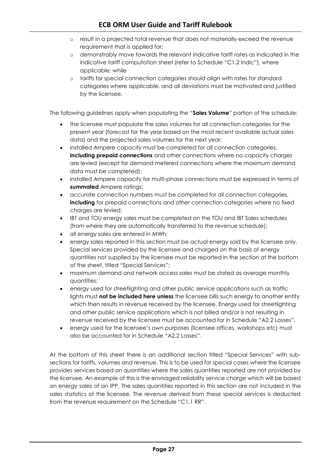- o result in a projected total revenue that does not materially exceed the revenue requirement that is applied for;
- o demonstrably move towards the relevant indicative tariff rates as indicated in the indicative tariff computation sheet (refer to Schedule "C1.2 Indic"), where applicable; while
- o tariffs for special connection categories should align with rates for standard categories where applicable, and all deviations must be motivated and justified by the licensee.

The following guidelines apply when populating the "**Sales Volume**" portion of the schedule:

- the licensee must populate the sales volumes for all connection categories for the present year (forecast for the year based on the most recent available actual sales data) and the projected sales volumes for the next year;
- installed Ampere capacity must be completed for all connection categories, **including prepaid connections** and other connections where no capacity charges are levied (except for demand metered connections where the maximum demand data must be completed);
- installed Ampere capacity for multi-phase connections must be expressed in terms of **summated** Ampere ratings;
- accurate connection numbers must be completed for all connection categories, **including** for prepaid connections and other connection categories where no fixed charges are levied;
- IBT and TOU energy sales must be completed on the TOU and IBT Sales schedules (from where they are automatically transferred to the revenue schedule);
- all energy sales are entered in MWh;
- energy sales reported in this section must be actual energy sold by the licensee only. Special services provided by the licensee and charged on the basis of energy quantities not supplied by the licensee must be reported in the section at the bottom of the sheet, titled "Special Services";
- maximum demand and network access sales must be stated as average monthly quantities;
- energy used for streetlighting and other public service applications such as traffic lights must **not be included here unless** the licensee bills such energy to another entity which then results in revenue received by the licensee. Energy used for streetlighting and other public service applications which is not billed and/or is not resulting in revenue received by the licensee must be accounted for in Schedule "A2.2 Losses".
- energy used for the licensee's own purposes (licensee offices, workshops etc) must also be accounted for in Schedule "A2.2 Losses".

At the bottom of this sheet there is an additional section titled "Special Services" with subsections for tariffs, volumes and revenue. This is to be used for special cases where the licensee provides services based on quantities where the sales quantities reported are not provided by the licensee. An example of this is the envisaged reliability service charge which will be based on energy sales of an IPP. The sales quantities reported in this section are not included in the sales statistics of the licensee. The revenue derived from these special services is deducted from the revenue requirement on the Schedule "C1.1 RR".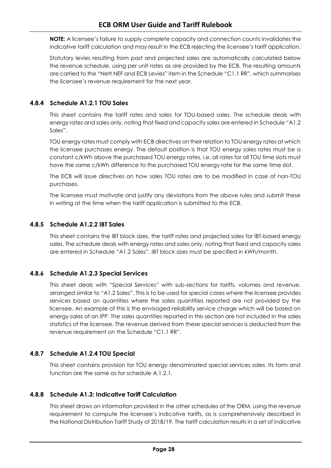**NOTE:** A licensee's failure to supply complete capacity and connection counts invalidates the indicative tariff calculation and may result in the ECB rejecting the licensee's tariff application.

Statutory levies resulting from past and projected sales are automatically calculated below the revenue schedule, using per unit rates as are provided by the ECB. The resulting amounts are carried to the "Nett NEF and ECB Levies" item in the Schedule "C1.1 RR", which summarises the licensee's revenue requirement for the next year.

# **4.8.4 Schedule A1.2.1 TOU Sales**

This sheet contains the tariff rates and sales for TOU-based sales. The schedule deals with energy rates and sales only, noting that fixed and capacity sales are entered in Schedule "A1.2 Sales".

TOU energy rates must comply with ECB directives on their relation to TOU energy rates at which the licensee purchases energy. The default position is that TOU energy sales rates must be a constant c/kWh above the purchased TOU energy rates, i.e. all rates for all TOU time slots must have the same c/kWh difference to the purchased TOU energy rate for the same time slot.

The ECB will issue directives on how sales TOU rates are to be modified in case of non-TOU purchases.

The licensee must motivate and justify any deviations from the above rules and submit these in writing at the time when the tariff application is submitted to the ECB.

# **4.8.5 Schedule A1.2.2 IBT Sales**

This sheet contains the IBT block sizes, the tariff rates and projected sales for IBT-based energy sales. The schedule deals with energy rates and sales only, noting that fixed and capacity sales are entered in Schedule "A1.2 Sales". IBT block sizes must be specified in kWh/month.

# **4.8.6 Schedule A1.2.3 Special Services**

This sheet deals with "Special Services" with sub-sections for tariffs, volumes and revenue, arranged similar to "A1.2 Sales". This is to be used for special cases where the licensee provides services based on quantities where the sales quantities reported are not provided by the licensee. An example of this is the envisaged reliability service charge which will be based on energy sales of an IPP. The sales quantities reported in this section are not included in the sales statistics of the licensee. The revenue derived from these special services is deducted from the revenue requirement on the Schedule "C1.1 RR".

# **4.8.7 Schedule A1.2.4 TOU Special**

This sheet contains provision for TOU energy denominated special services sales. Its form and function are the same as for schedule A.1.2.1.

# **4.8.8 Schedule A1.3: Indicative Tariff Calculation**

This sheet draws on information provided in the other schedules of the ORM, using the revenue requirement to compute the licensee's indicative tariffs, as is comprehensively described in the National Distribution Tariff Study of 2018/19. The tariff calculation results in a set of indicative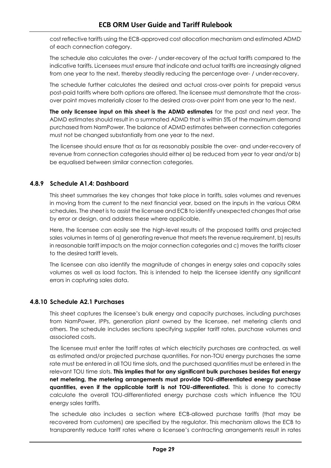cost reflective tariffs using the ECB-approved cost allocation mechanism and estimated ADMD of each connection category.

The schedule also calculates the over- / under-recovery of the actual tariffs compared to the indicative tariffs. Licensees must ensure that indicate and actual tariffs are increasingly aligned from one year to the next, thereby steadily reducing the percentage over- / under-recovery.

The schedule further calculates the desired and actual cross-over points for prepaid versus post-paid tariffs where both options are offered. The licensee must demonstrate that the crossover point moves materially closer to the desired cross-over point from one year to the next.

**The only licensee input on this sheet is the ADMD estimates** for the past and next year. The ADMD estimates should result in a summated ADMD that is within 5% of the maximum demand purchased from NamPower. The balance of ADMD estimates between connection categories must not be changed substantially from one year to the next.

The licensee should ensure that as far as reasonably possible the over- and under-recovery of revenue from connection categories should either a) be reduced from year to year and/or b) be equalised between similar connection categories.

# **4.8.9 Schedule A1.4: Dashboard**

This sheet summarises the key changes that take place in tariffs, sales volumes and revenues in moving from the current to the next financial year, based on the inputs in the various ORM schedules. The sheet is to assist the licensee and ECB to identify unexpected changes that arise by error or design, and address these where applicable.

Here, the licensee can easily see the high-level results of the proposed tariffs and projected sales volumes in terms of a) generating revenue that meets the revenue requirement, b) results in reasonable tariff impacts on the major connection categories and c) moves the tariffs closer to the desired tariff levels.

The licensee can also identify the magnitude of changes in energy sales and capacity sales volumes as well as load factors. This is intended to help the licensee identify any significant errors in capturing sales data.

# **4.8.10 Schedule A2.1 Purchases**

This sheet captures the licensee's bulk energy and capacity purchases, including purchases from NamPower, IPPs, generation plant owned by the licensee, net metering clients and others. The schedule includes sections specifying supplier tariff rates, purchase volumes and associated costs.

The licensee must enter the tariff rates at which electricity purchases are contracted, as well as estimated and/or projected purchase quantities. For non-TOU energy purchases the same rate must be entered in all TOU time slots, and the purchased quantities must be entered in the relevant TOU time slots. **This implies that for any significant bulk purchases besides flat energy net metering, the metering arrangements must provide TOU-differentiated energy purchase quantities, even if the applicable tariff is not TOU-differentiated.** This is done to correctly calculate the overall TOU-differentiated energy purchase costs which influence the TOU energy sales tariffs.

The schedule also includes a section where ECB-allowed purchase tariffs (that may be recovered from customers) are specified by the regulator. This mechanism allows the ECB to transparently reduce tariff rates where a licensee's contracting arrangements result in rates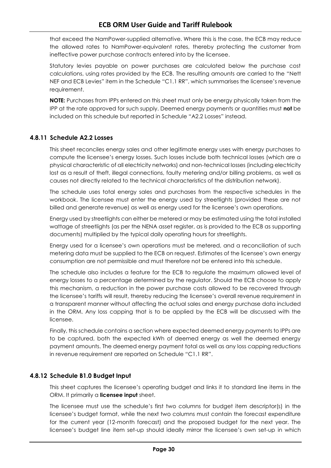that exceed the NamPower-supplied alternative. Where this is the case, the ECB may reduce the allowed rates to NamPower-equivalent rates, thereby protecting the customer from ineffective power purchase contracts entered into by the licensee.

Statutory levies payable on power purchases are calculated below the purchase cost calculations, using rates provided by the ECB. The resulting amounts are carried to the "Nett NEF and ECB Levies" item in the Schedule "C1.1 RR", which summarises the licensee's revenue requirement.

**NOTE:** Purchases from IPPs entered on this sheet must only be energy physically taken from the IPP at the rate approved for such supply. Deemed energy payments or quantities must **not** be included on this schedule but reported in Schedule "A2.2 Losses" instead.

# **4.8.11 Schedule A2.2 Losses**

This sheet reconciles energy sales and other legitimate energy uses with energy purchases to compute the licensee's energy losses. Such losses include both technical losses (which are a physical characteristic of all electricity networks) and non-technical losses (including electricity lost as a result of theft, illegal connections, faulty metering and/or billing problems, as well as causes not directly related to the technical characteristics of the distribution network).

The schedule uses total energy sales and purchases from the respective schedules in the workbook. The licensee must enter the energy used by streetlights (provided these are not billed and generate revenue) as well as energy used for the licensee's own operations.

Energy used by streetlights can either be metered or may be estimated using the total installed wattage of streetlights (as per the NENA asset register, as is provided to the ECB as supporting documents) multiplied by the typical daily operating hours for streetlights.

Energy used for a licensee's own operations must be metered, and a reconciliation of such metering data must be supplied to the ECB on request. Estimates of the licensee's own energy consumption are not permissible and must therefore not be entered into this schedule.

The schedule also includes a feature for the ECB to regulate the maximum allowed level of energy losses to a percentage determined by the regulator. Should the ECB choose to apply this mechanism, a reduction in the power purchase costs allowed to be recovered through the licensee's tariffs will result, thereby reducing the licensee's overall revenue requirement in a transparent manner without affecting the actual sales and energy purchase data included in the ORM. Any loss capping that is to be applied by the ECB will be discussed with the licensee.

Finally, this schedule contains a section where expected deemed energy payments to IPPs are to be captured, both the expected kWh of deemed energy as well the deemed energy payment amounts. The deemed energy payment total as well as any loss capping reductions in revenue requirement are reported on Schedule "C1.1 RR".

# **4.8.12 Schedule B1.0 Budget Input**

This sheet captures the licensee's operating budget and links it to standard line items in the ORM. It primarily a **licensee input** sheet.

The licensee must use the schedule's first two columns for budget item descriptor(s) in the licensee's budget format, while the next two columns must contain the forecast expenditure for the current year (12-month forecast) and the proposed budget for the next year. The licensee's budget line item set-up should ideally mirror the licensee's own set-up in which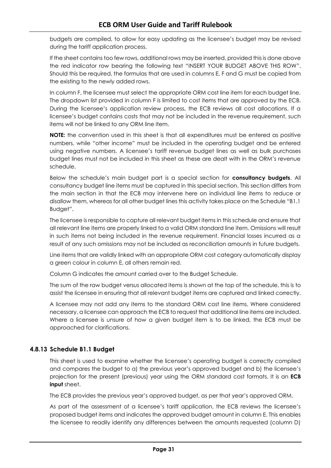budgets are compiled, to allow for easy updating as the licensee's budget may be revised during the tariff application process.

If the sheet contains too few rows, additional rows may be inserted, provided this is done above the red indicator row bearing the following text "INSERT YOUR BUDGET ABOVE THIS ROW". Should this be required, the formulas that are used in columns E, F and G must be copied from the existing to the newly added rows.

In column F, the licensee must select the appropriate ORM cost line item for each budget line. The dropdown list provided in column F is limited to cost items that are approved by the ECB. During the licensee's application review process, the ECB reviews all cost allocations. If a licensee's budget contains costs that may not be included in the revenue requirement, such items will not be linked to any ORM line item.

**NOTE:** the convention used in this sheet is that all expenditures must be entered as positive numbers, while "other income" must be included in the operating budget and be entered using negative numbers. A licensee's tariff revenue budget lines as well as bulk purchases budget lines must not be included in this sheet as these are dealt with in the ORM's revenue schedule.

Below the schedule's main budget part is a special section for **consultancy budgets**. All consultancy budget line items must be captured in this special section. This section differs from the main section in that the ECB may intervene here on individual line items to reduce or disallow them, whereas for all other budget lines this activity takes place on the Schedule "B1.1 Budget".

The licensee is responsible to capture all relevant budget items in this schedule and ensure that all relevant line items are properly linked to a valid ORM standard line item. Omissions will result in such items not being included in the revenue requirement. Financial losses incurred as a result of any such omissions may not be included as reconciliation amounts in future budgets.

Line items that are validly linked with an appropriate ORM cost category automatically display a green colour in column E, all others remain red.

Column G indicates the amount carried over to the Budget Schedule.

The sum of the raw budget versus allocated items is shown at the top of the schedule, this is to assist the licensee in ensuring that all relevant budget items are captured and linked correctly.

A licensee may not add any items to the standard ORM cost line items. Where considered necessary, a licensee can approach the ECB to request that additional line items are included. Where a licensee is unsure of how a given budget item is to be linked, the ECB must be approached for clarifications.

# **4.8.13 Schedule B1.1 Budget**

This sheet is used to examine whether the licensee's operating budget is correctly compiled and compares the budget to a) the previous year's approved budget and b) the licensee's projection for the present (previous) year using the ORM standard cost formats. It is an **ECB input** sheet.

The ECB provides the previous year's approved budget, as per that year's approved ORM.

As part of the assessment of a licensee's tariff application, the ECB reviews the licensee's proposed budget items and indicates the approved budget amount in column E. This enables the licensee to readily identify any differences between the amounts requested (column D)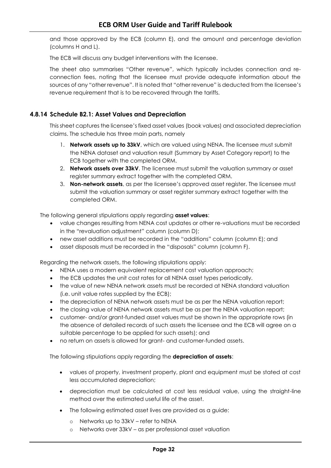and those approved by the ECB (column E), and the amount and percentage deviation (columns H and L).

The ECB will discuss any budget interventions with the licensee.

The sheet also summarises "Other revenue", which typically includes connection and reconnection fees, noting that the licensee must provide adequate information about the sources of any "other revenue". It is noted that "other revenue" is deducted from the licensee's revenue requirement that is to be recovered through the tariffs.

#### **4.8.14 Schedule B2.1: Asset Values and Depreciation**

This sheet captures the licensee's fixed asset values (book values) and associated depreciation claims. The schedule has three main parts, namely

- 1. **Network assets up to 33kV**, which are valued using NENA. The licensee must submit the NENA dataset and valuation result (Summary by Asset Category report) to the ECB together with the completed ORM.
- 2. **Network assets over 33kV**. The licensee must submit the valuation summary or asset register summary extract together with the completed ORM.
- 3. **Non-network assets**, as per the licensee's approved asset register. The licensee must submit the valuation summary or asset register summary extract together with the completed ORM.

The following general stipulations apply regarding **asset values**:

- value changes resulting from NENA cost updates or other re-valuations must be recorded in the "revaluation adjustment" column (column D);
- new asset additions must be recorded in the "additions" column (column E); and
- asset disposals must be recorded in the "disposals" column (column F).

Regarding the network assets, the following stipulations apply:

- NENA uses a modern equivalent replacement cost valuation approach;
- the ECB updates the unit cost rates for all NENA asset types periodically.
- the value of new NENA network assets must be recorded at NENA standard valuation (i.e. unit value rates supplied by the ECB);
- the depreciation of NENA network assets must be as per the NENA valuation report;
- the closing value of NENA network assets must be as per the NENA valuation report;
- customer- and/or grant-funded asset values must be shown in the appropriate rows (in the absence of detailed records of such assets the licensee and the ECB will agree on a suitable percentage to be applied for such assets); and
- no return on assets is allowed for grant- and customer-funded assets.

The following stipulations apply regarding the **depreciation of assets**:

- values of property, investment property, plant and equipment must be stated at cost less accumulated depreciation;
- depreciation must be calculated at cost less residual value, using the straight-line method over the estimated useful life of the asset.
- The following estimated asset lives are provided as a guide:
	- o Networks up to 33kV refer to NENA
	- o Networks over 33kV as per professional asset valuation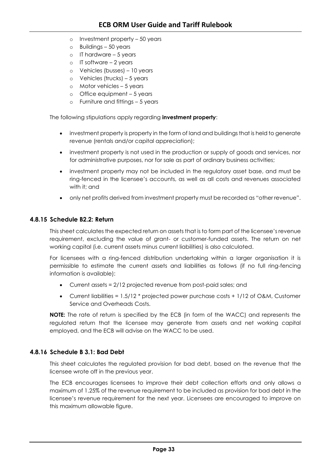- o Investment property 50 years
- o Buildings 50 years
- $o$  IT hardware 5 years
- o IT software 2 years
- o Vehicles (busses) 10 years
- o Vehicles (trucks) 5 years
- o Motor vehicles 5 years
- o Office equipment 5 years
- o Furniture and fittings 5 years

The following stipulations apply regarding **investment property**:

- investment property is property in the form of land and buildings that is held to generate revenue (rentals and/or capital appreciation);
- investment property is not used in the production or supply of goods and services, nor for administrative purposes, nor for sale as part of ordinary business activities;
- investment property may not be included in the regulatory asset base, and must be ring-fenced in the licensee's accounts, as well as all costs and revenues associated with it; and
- only net profits derived from investment property must be recorded as "other revenue".

#### **4.8.15 Schedule B2.2: Return**

This sheet calculates the expected return on assets that is to form part of the licensee's revenue requirement, excluding the value of grant- or customer-funded assets. The return on net working capital (i.e. current assets minus current liabilities) is also calculated.

For licensees with a ring-fenced distribution undertaking within a larger organisation it is permissible to estimate the current assets and liabilities as follows (if no full ring-fencing information is available):

- Current assets = 2/12 projected revenue from post-paid sales; and
- Current liabilities =  $1.5/12$  \* projected power purchase costs +  $1/12$  of O&M, Customer Service and Overheads Costs.

**NOTE:** The rate of return is specified by the ECB (in form of the WACC) and represents the regulated return that the licensee may generate from assets and net working capital employed, and the ECB will advise on the WACC to be used.

#### **4.8.16 Schedule B 3.1: Bad Debt**

This sheet calculates the regulated provision for bad debt, based on the revenue that the licensee wrote off in the previous year.

The ECB encourages licensees to improve their debt collection efforts and only allows a maximum of 1.25% of the revenue requirement to be included as provision for bad debt in the licensee's revenue requirement for the next year. Licensees are encouraged to improve on this maximum allowable figure.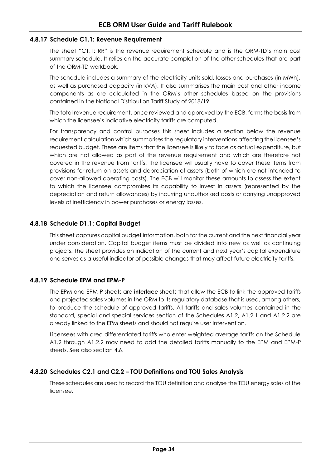#### **4.8.17 Schedule C1.1: Revenue Requirement**

The sheet "C1.1: RR" is the revenue requirement schedule and is the ORM-TD's main cost summary schedule. It relies on the accurate completion of the other schedules that are part of the ORM-TD workbook.

The schedule includes a summary of the electricity units sold, losses and purchases (in MWh), as well as purchased capacity (in kVA). It also summarises the main cost and other income components as are calculated in the ORM's other schedules based on the provisions contained in the National Distribution Tariff Study of 2018/19.

The total revenue requirement, once reviewed and approved by the ECB, forms the basis from which the licensee's indicative electricity tariffs are computed.

For transparency and control purposes this sheet includes a section below the revenue requirement calculation which summarises the regulatory interventions affecting the licensee's requested budget. These are items that the licensee is likely to face as actual expenditure, but which are not allowed as part of the revenue requirement and which are therefore not covered in the revenue from tariffs. The licensee will usually have to cover these items from provisions for return on assets and depreciation of assets (both of which are not intended to cover non-allowed operating costs). The ECB will monitor these amounts to assess the extent to which the licensee compromises its capability to invest in assets (represented by the depreciation and return allowances) by incurring unauthorised costs or carrying unapproved levels of inefficiency in power purchases or energy losses.

#### **4.8.18 Schedule D1.1: Capital Budget**

This sheet captures capital budget information, both for the current and the next financial year under consideration. Capital budget items must be divided into new as well as continuing projects. The sheet provides an indication of the current and next year's capital expenditure and serves as a useful indicator of possible changes that may affect future electricity tariffs.

#### **4.8.19 Schedule EPM and EPM-P**

The EPM and EPM-P sheets are **interface** sheets that allow the ECB to link the approved tariffs and projected sales volumes in the ORM to its regulatory database that is used, among others, to produce the schedule of approved tariffs. All tariffs and sales volumes contained in the standard, special and special services section of the Schedules A1.2, A1.2.1 and A1.2.2 are already linked to the EPM sheets and should not require user intervention.

Licensees with area differentiated tariffs who enter weighted average tariffs on the Schedule A1.2 through A1.2.2 may need to add the detailed tariffs manually to the EPM and EPM-P sheets. See also section [4.6.](#page-26-0)

#### **4.8.20 Schedules C2.1 and C2.2 – TOU Definitions and TOU Sales Analysis**

These schedules are used to record the TOU definition and analyse the TOU energy sales of the licensee.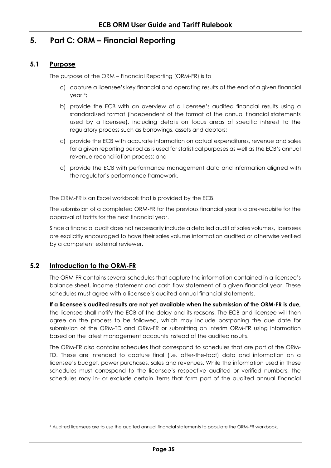# <span id="page-38-0"></span>**5. Part C: ORM – Financial Reporting**

# **5.1 Purpose**

<span id="page-38-1"></span>The purpose of the ORM – Financial Reporting (ORM-FR) is to

- a) capture a licensee's key financial and operating results at the end of a given financial year <sup>4</sup>;
- b) provide the ECB with an overview of a licensee's audited financial results using a standardised format (independent of the format of the annual financial statements used by a licensee), including details on focus areas of specific interest to the regulatory process such as borrowings, assets and debtors;
- c) provide the ECB with accurate information on actual expenditures, revenue and sales for a given reporting period as is used for statistical purposes as well as the ECB's annual revenue reconciliation process; and
- d) provide the ECB with performance management data and information aligned with the regulator's performance framework.

The ORM-FR is an Excel workbook that is provided by the ECB.

The submission of a completed ORM-FR for the previous financial year is a pre-requisite for the approval of tariffs for the next financial year.

Since a financial audit does not necessarily include a detailed audit of sales volumes, licensees are explicitly encouraged to have their sales volume information audited or otherwise verified by a competent external reviewer.

# <span id="page-38-2"></span>**5.2 Introduction to the ORM-FR**

l

The ORM-FR contains several schedules that capture the information contained in a licensee's balance sheet, income statement and cash flow statement of a given financial year. These schedules must agree with a licensee's audited annual financial statements.

**If a licensee's audited results are not yet available when the submission of the ORM-FR is due,** the licensee shall notify the ECB of the delay and its reasons. The ECB and licensee will then agree on the process to be followed, which may include postponing the due date for submission of the ORM-TD and ORM-FR or submitting an interim ORM-FR using information based on the latest management accounts instead of the audited results.

The ORM-FR also contains schedules that correspond to schedules that are part of the ORM-TD. These are intended to capture final (i.e. after-the-fact) data and information on a licensee's budget, power purchases, sales and revenues. While the information used in these schedules must correspond to the licensee's respective audited or verified numbers, the schedules may in- or exclude certain items that form part of the audited annual financial

<sup>4</sup> Audited licensees are to use the audited annual financial statements to populate the ORM-FR workbook.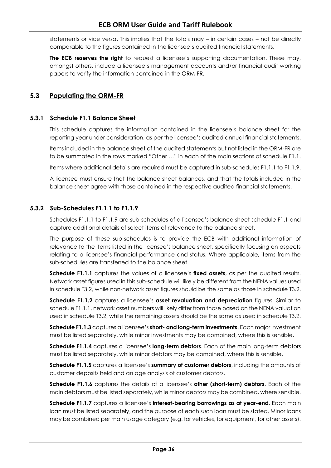statements or vice versa. This implies that the totals may – in certain cases – not be directly comparable to the figures contained in the licensee's audited financial statements.

**The ECB reserves the right** to request a licensee's supporting documentation. These may, amongst others, include a licensee's management accounts and/or financial audit working papers to verify the information contained in the ORM-FR.

# <span id="page-39-0"></span>**5.3 Populating the ORM-FR**

#### **5.3.1 Schedule F1.1 Balance Sheet**

This schedule captures the information contained in the licensee's balance sheet for the reporting year under consideration, as per the licensee's audited annual financial statements.

Items included in the balance sheet of the audited statements but not listed in the ORM-FR are to be summated in the rows marked "Other …" in each of the main sections of schedule F1.1.

Items where additional details are required must be captured in sub-schedules F1.1.1 to F1.1.9.

A licensee must ensure that the balance sheet balances, and that the totals included in the balance sheet agree with those contained in the respective audited financial statements.

#### **5.3.2 Sub-Schedules F1.1.1 to F1.1.9**

Schedules F1.1.1 to F1.1.9 are sub-schedules of a licensee's balance sheet schedule F1.1 and capture additional details of select items of relevance to the balance sheet.

The purpose of these sub-schedules is to provide the ECB with additional information of relevance to the items listed in the licensee's balance sheet, specifically focusing on aspects relating to a licensee's financial performance and status. Where applicable, items from the sub-schedules are transferred to the balance sheet.

**Schedule F1.1.1** captures the values of a licensee's **fixed assets**, as per the audited results. Network asset figures used in this sub-schedule will likely be different from the NENA values used in schedule T3.2, while non-network asset figures should be the same as those in schedule T3.2.

**Schedule F1.1.2** captures a licensee's **asset revaluation and depreciation** figures. Similar to schedule F1.1.1, network asset numbers will likely differ from those based on the NENA valuation used in schedule T3.2, while the remaining assets should be the same as used in schedule T3.2.

**Schedule F1.1.3** captures a licensee's **short- and long-term investments**. Each major investment must be listed separately, while minor investments may be combined, where this is sensible.

**Schedule F1.1.4** captures a licensee's **long-term debtors**. Each of the main long-term debtors must be listed separately, while minor debtors may be combined, where this is sensible.

**Schedule F1.1.5** captures a licensee's **summary of customer debtors**, including the amounts of customer deposits held and an age analysis of customer debtors.

**Schedule F1.1.6** captures the details of a licensee's **other (short-term) debtors**. Each of the main debtors must be listed separately, while minor debtors may be combined, where sensible.

**Schedule F1.1.7** captures a licensee's **interest-bearing borrowings as at year-end**. Each main loan must be listed separately, and the purpose of each such loan must be stated. Minor loans may be combined per main usage category (e.g. for vehicles, for equipment, for other assets).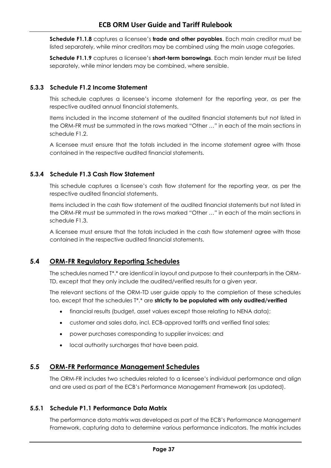**Schedule F1.1.8** captures a licensee's **trade and other payables**. Each main creditor must be listed separately, while minor creditors may be combined using the main usage categories.

**Schedule F1.1.9** captures a licensee's **short-term borrowings**. Each main lender must be listed separately, while minor lenders may be combined, where sensible.

#### **5.3.3 Schedule F1.2 Income Statement**

This schedule captures a licensee's income statement for the reporting year, as per the respective audited annual financial statements.

Items included in the income statement of the audited financial statements but not listed in the ORM-FR must be summated in the rows marked "Other …" in each of the main sections in schedule F1.2.

A licensee must ensure that the totals included in the income statement agree with those contained in the respective audited financial statements.

#### **5.3.4 Schedule F1.3 Cash Flow Statement**

This schedule captures a licensee's cash flow statement for the reporting year, as per the respective audited financial statements.

Items included in the cash flow statement of the audited financial statements but not listed in the ORM-FR must be summated in the rows marked "Other …" in each of the main sections in schedule F1.3.

A licensee must ensure that the totals included in the cash flow statement agree with those contained in the respective audited financial statements.

# <span id="page-40-0"></span>**5.4 ORM-FR Regulatory Reporting Schedules**

The schedules named T\*.\* are identical in layout and purpose to their counterparts in the ORM-TD, except that they only include the audited/verified results for a given year.

The relevant sections of the ORM-TD user guide apply to the completion of these schedules too, except that the schedules T\*.\* are **strictly to be populated with only audited/verified**

- financial results (budget, asset values except those relating to NENA data);
- customer and sales data, incl. ECB-approved tariffs and verified final sales;
- power purchases corresponding to supplier invoices; and
- local authority surcharges that have been paid.

# <span id="page-40-1"></span>**5.5 ORM-FR Performance Management Schedules**

The ORM-FR includes two schedules related to a licensee's individual performance and align and are used as part of the ECB's Performance Management Framework (as updated).

# **5.5.1 Schedule P1.1 Performance Data Matrix**

The performance data matrix was developed as part of the ECB's Performance Management Framework, capturing data to determine various performance indicators. The matrix includes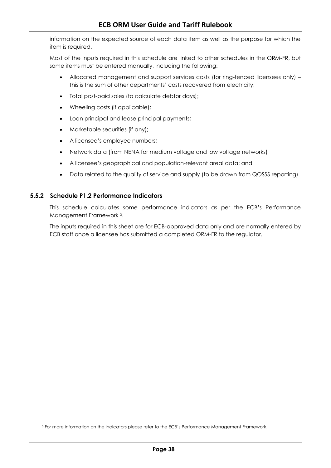information on the expected source of each data item as well as the purpose for which the item is required.

Most of the inputs required in this schedule are linked to other schedules in the ORM-FR, but some items must be entered manually, including the following:

- Allocated management and support services costs (for ring-fenced licensees only) this is the sum of other departments' costs recovered from electricity;
- Total post-paid sales (to calculate debtor days);
- Wheeling costs (if applicable);
- Loan principal and lease principal payments;
- Marketable securities (if any);
- A licensee's employee numbers;
- Network data (from NENA for medium voltage and low voltage networks)
- A licensee's geographical and population-relevant areal data; and
- Data related to the quality of service and supply (to be drawn from QOSSS reporting).

#### **5.5.2 Schedule P1.2 Performance Indicators**

l

This schedule calculates some performance indicators as per the ECB's Performance Management Framework 5.

The inputs required in this sheet are for ECB-approved data only and are normally entered by ECB staff once a licensee has submitted a completed ORM-FR to the regulator.

<sup>5</sup> For more information on the indicators please refer to the ECB's Performance Management Framework.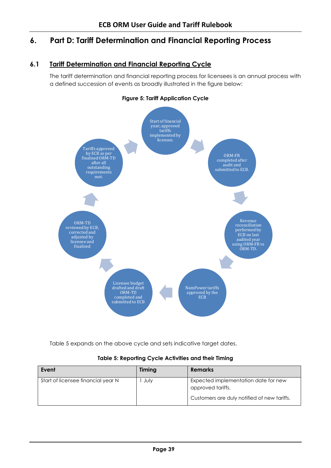# <span id="page-42-0"></span>**6. Part D: Tariff Determination and Financial Reporting Process**

# **6.1 Tariff Determination and Financial Reporting Cycle**

<span id="page-42-1"></span>The tariff determination and financial reporting process for licensees is an annual process with a defined succession of events as broadly illustrated in the figure below:

#### **Figure 5: Tariff Application Cycle**

<span id="page-42-3"></span>

[Table 5](#page-42-2) expands on the above cycle and sets indicative target dates.

#### **Table 5: Reporting Cycle Activities and their Timing**

<span id="page-42-2"></span>

| Event                              | Timing | <b>Remarks</b>                                            |
|------------------------------------|--------|-----------------------------------------------------------|
| Start of licensee financial year N | July   | Expected implementation date for new<br>approved tariffs. |
|                                    |        | Customers are duly notified of new tariffs.               |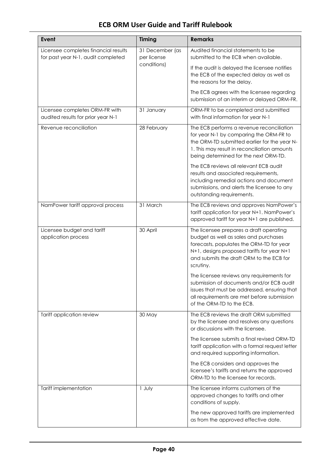| Event                                                                      | <b>Timing</b>                  | <b>Remarks</b>                                                                                                                                                                                                                      |
|----------------------------------------------------------------------------|--------------------------------|-------------------------------------------------------------------------------------------------------------------------------------------------------------------------------------------------------------------------------------|
| Licensee completes financial results<br>for past year N-1, audit completed | 31 December (as<br>per license | Audited financial statements to be<br>submitted to the ECB when available.                                                                                                                                                          |
|                                                                            | conditions)                    | If the audit is delayed the licensee notifies<br>the ECB of the expected delay as well as<br>the reasons for the delay.                                                                                                             |
|                                                                            |                                | The ECB agrees with the licensee regarding<br>submission of an interim or delayed ORM-FR.                                                                                                                                           |
| Licensee completes ORM-FR with<br>audited results for prior year N-1       | 31 January                     | ORM-FR to be completed and submitted<br>with final information for year N-1                                                                                                                                                         |
| Revenue reconciliation                                                     | 28 February                    | The ECB performs a revenue reconciliation<br>for year N-1 by comparing the ORM-FR to<br>the ORM-TD submitted earlier for the year N-<br>1. This may result in reconciliation amounts<br>being determined for the next ORM-TD.       |
|                                                                            |                                | The ECB reviews all relevant ECB audit<br>results and associated requirements,<br>including remedial actions and document<br>submissions, and alerts the licensee to any<br>outstanding requirements.                               |
| NamPower tariff approval process                                           | 31 March                       | The ECB reviews and approves NamPower's<br>tariff application for year N+1. NamPower's<br>approved tariff for year N+1 are published.                                                                                               |
| Licensee budget and tariff<br>application process                          | 30 April                       | The licensee prepares a draft operating<br>budget as well as sales and purchases<br>forecasts, populates the ORM-TD for year<br>N+1, designs proposed tariffs for year N+1<br>and submits the draft ORM to the ECB for<br>scrutiny. |
|                                                                            |                                | The licensee reviews any requirements for<br>submission of documents and/or ECB audit<br>issues that must be addressed, ensuring that<br>all requirements are met before submission<br>of the ORM-TD to the ECB.                    |
| Tariff application review                                                  | 30 May                         | The ECB reviews the draft ORM submitted<br>by the licensee and resolves any questions<br>or discussions with the licensee.                                                                                                          |
|                                                                            |                                | The licensee submits a final revised ORM-TD<br>tariff application with a formal request letter<br>and required supporting information.                                                                                              |
|                                                                            |                                | The ECB considers and approves the<br>licensee's tariffs and returns the approved<br>ORM-TD to the licensee for records.                                                                                                            |
| Tariff implementation                                                      | 1 July                         | The licensee informs customers of the<br>approved changes to tariffs and other<br>conditions of supply.                                                                                                                             |
|                                                                            |                                | The new approved tariffs are implemented<br>as from the approved effective date.                                                                                                                                                    |